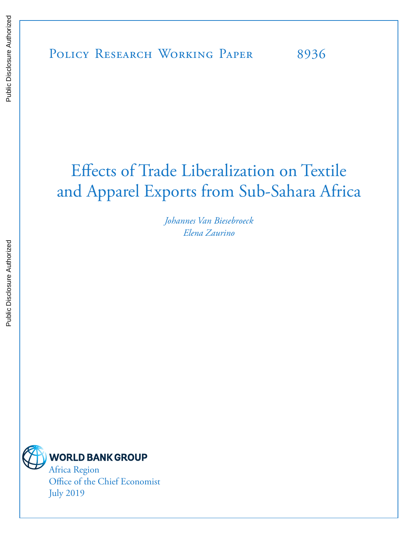# Effects of Trade Liberalization on Textile and Apparel Exports from Sub-Sahara Africa

*Johannes Van Biesebroeck Elena Zaurino*



Africa Region Office of the Chief Economist July 2019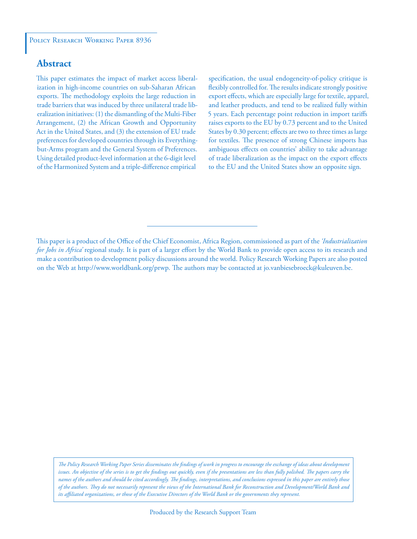# **Abstract**

This paper estimates the impact of market access liberalization in high-income countries on sub-Saharan African exports. The methodology exploits the large reduction in trade barriers that was induced by three unilateral trade liberalization initiatives: (1) the dismantling of the Multi-Fiber Arrangement, (2) the African Growth and Opportunity Act in the United States, and (3) the extension of EU trade preferences for developed countries through its Everythingbut-Arms program and the General System of Preferences. Using detailed product-level information at the 6-digit level of the Harmonized System and a triple-difference empirical

specification, the usual endogeneity-of-policy critique is flexibly controlled for. The results indicate strongly positive export effects, which are especially large for textile, apparel, and leather products, and tend to be realized fully within 5 years. Each percentage point reduction in import tariffs raises exports to the EU by 0.73 percent and to the United States by 0.30 percent; effects are two to three times as large for textiles. The presence of strong Chinese imports has ambiguous effects on countries' ability to take advantage of trade liberalization as the impact on the export effects to the EU and the United States show an opposite sign.

*The Policy Research Working Paper Series disseminates the findings of work in progress to encourage the exchange of ideas about development*  issues. An objective of the series is to get the findings out quickly, even if the presentations are less than fully polished. The papers carry the *names of the authors and should be cited accordingly. The findings, interpretations, and conclusions expressed in this paper are entirely those of the authors. They do not necessarily represent the views of the International Bank for Reconstruction and Development/World Bank and its affiliated organizations, or those of the Executive Directors of the World Bank or the governments they represent.*

This paper is a product of the Office of the Chief Economist, Africa Region, commissioned as part of the *'Industrialization for Jobs in Africa'* regional study. It is part of a larger effort by the World Bank to provide open access to its research and make a contribution to development policy discussions around the world. Policy Research Working Papers are also posted on the Web at http://www.worldbank.org/prwp. The authors may be contacted at jo.vanbiesebroeck@kuleuven.be.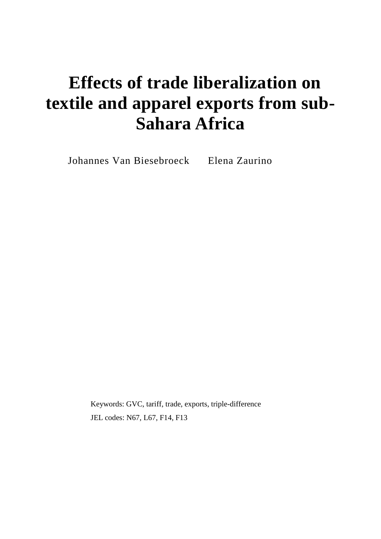# **Effects of trade liberalization on textile and apparel exports from sub-Sahara Africa**

Johannes Van Biesebroeck Elena Zaurino

Keywords: GVC, tariff, trade, exports, triple-difference JEL codes: N67, L67, F14, F13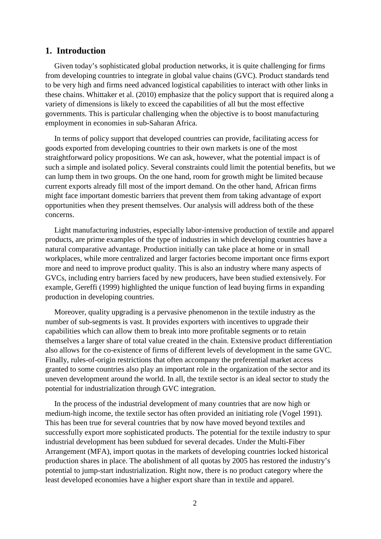# **1. Introduction**

Given today's sophisticated global production networks, it is quite challenging for firms from developing countries to integrate in global value chains (GVC). Product standards tend to be very high and firms need advanced logistical capabilities to interact with other links in these chains. Whittaker et al. (2010) emphasize that the policy support that is required along a variety of dimensions is likely to exceed the capabilities of all but the most effective governments. This is particular challenging when the objective is to boost manufacturing employment in economies in sub-Saharan Africa.

In terms of policy support that developed countries can provide, facilitating access for goods exported from developing countries to their own markets is one of the most straightforward policy propositions. We can ask, however, what the potential impact is of such a simple and isolated policy. Several constraints could limit the potential benefits, but we can lump them in two groups. On the one hand, room for growth might be limited because current exports already fill most of the import demand. On the other hand, African firms might face important domestic barriers that prevent them from taking advantage of export opportunities when they present themselves. Our analysis will address both of the these concerns.

Light manufacturing industries, especially labor-intensive production of textile and apparel products, are prime examples of the type of industries in which developing countries have a natural comparative advantage. Production initially can take place at home or in small workplaces, while more centralized and larger factories become important once firms export more and need to improve product quality. This is also an industry where many aspects of GVCs, including entry barriers faced by new producers, have been studied extensively. For example, Gereffi (1999) highlighted the unique function of lead buying firms in expanding production in developing countries.

Moreover, quality upgrading is a pervasive phenomenon in the textile industry as the number of sub-segments is vast. It provides exporters with incentives to upgrade their capabilities which can allow them to break into more profitable segments or to retain themselves a larger share of total value created in the chain. Extensive product differentiation also allows for the co-existence of firms of different levels of development in the same GVC. Finally, rules-of-origin restrictions that often accompany the preferential market access granted to some countries also play an important role in the organization of the sector and its uneven development around the world. In all, the textile sector is an ideal sector to study the potential for industrialization through GVC integration.

In the process of the industrial development of many countries that are now high or medium-high income, the textile sector has often provided an initiating role (Vogel 1991). This has been true for several countries that by now have moved beyond textiles and successfully export more sophisticated products. The potential for the textile industry to spur industrial development has been subdued for several decades. Under the Multi-Fiber Arrangement (MFA), import quotas in the markets of developing countries locked historical production shares in place. The abolishment of all quotas by 2005 has restored the industry's potential to jump-start industrialization. Right now, there is no product category where the least developed economies have a higher export share than in textile and apparel.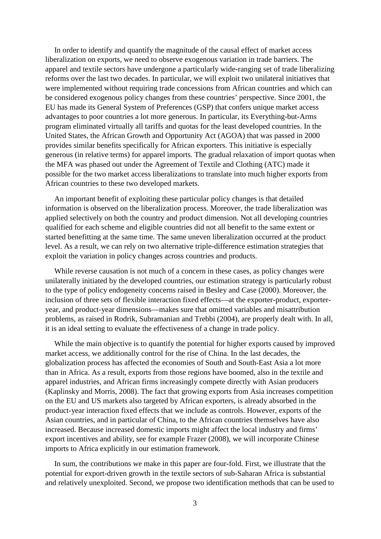In order to identify and quantify the magnitude of the causal effect of market access liberalization on exports, we need to observe exogenous variation in trade barriers. The apparel and textile sectors have undergone a particularly wide-ranging set of trade liberalizing reforms over the last two decades. In particular, we will exploit two unilateral initiatives that were implemented without requiring trade concessions from African countries and which can be considered exogenous policy changes from these countries' perspective. Since 2001, the EU has made its General System of Preferences (GSP) that confers unique market access advantages to poor countries a lot more generous. In particular, its Everything-but-Arms program eliminated virtually all tariffs and quotas for the least developed countries. In the United States, the African Growth and Opportunity Act (AGOA) that was passed in 2000 provides similar benefits specifically for African exporters. This initiative is especially generous (in relative terms) for apparel imports. The gradual relaxation of import quotas when the MFA was phased out under the Agreement of Textile and Clothing (ATC) made it possible for the two market access liberalizations to translate into much higher exports from African countries to these two developed markets.

An important benefit of exploiting these particular policy changes is that detailed information is observed on the liberalization process. Moreover, the trade liberalization was applied selectively on both the country and product dimension. Not all developing countries qualified for each scheme and eligible countries did not all benefit to the same extent or started benefitting at the same time. The same uneven liberalization occurred at the product level. As a result, we can rely on two alternative triple-difference estimation strategies that exploit the variation in policy changes across countries and products.

While reverse causation is not much of a concern in these cases, as policy changes were unilaterally initiated by the developed countries, our estimation strategy is particularly robust to the type of policy endogeneity concerns raised in Besley and Case (2000). Moreover, the inclusion of three sets of flexible interaction fixed effects—at the exporter-product, exporteryear, and product-year dimensions—makes sure that omitted variables and misattribution problems, as raised in Rodrik, Subramanian and Trebbi (2004), are properly dealt with. In all, it is an ideal setting to evaluate the effectiveness of a change in trade policy.

While the main objective is to quantify the potential for higher exports caused by improved market access, we additionally control for the rise of China. In the last decades, the globalization process has affected the economies of South and South-East Asia a lot more than in Africa. As a result, exports from those regions have boomed, also in the textile and apparel industries, and African firms increasingly compete directly with Asian producers (Kaplinsky and Morris, 2008). The fact that growing exports from Asia increases competition on the EU and US markets also targeted by African exporters, is already absorbed in the product-year interaction fixed effects that we include as controls. However, exports of the Asian countries, and in particular of China, to the African countries themselves have also increased. Because increased domestic imports might affect the local industry and firms' export incentives and ability, see for example Frazer (2008), we will incorporate Chinese imports to Africa explicitly in our estimation framework.

In sum, the contributions we make in this paper are four-fold. First, we illustrate that the potential for export-driven growth in the textile sectors of sub-Saharan Africa is substantial and relatively unexploited. Second, we propose two identification methods that can be used to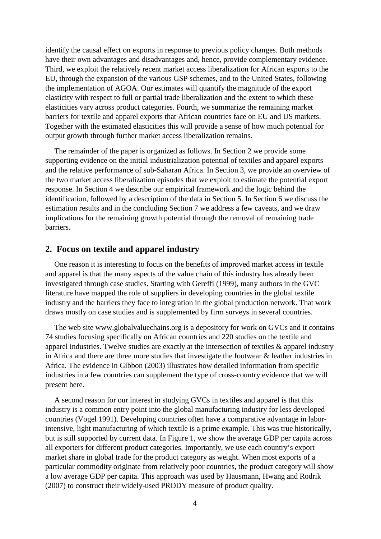identify the causal effect on exports in response to previous policy changes. Both methods have their own advantages and disadvantages and, hence, provide complementary evidence. Third, we exploit the relatively recent market access liberalization for African exports to the EU, through the expansion of the various GSP schemes, and to the United States, following the implementation of AGOA. Our estimates will quantify the magnitude of the export elasticity with respect to full or partial trade liberalization and the extent to which these elasticities vary across product categories. Fourth, we summarize the remaining market barriers for textile and apparel exports that African countries face on EU and US markets. Together with the estimated elasticities this will provide a sense of how much potential for output growth through further market access liberalization remains.

The remainder of the paper is organized as follows. In Section 2 we provide some supporting evidence on the initial industrialization potential of textiles and apparel exports and the relative performance of sub-Saharan Africa. In Section 3, we provide an overview of the two market access liberalization episodes that we exploit to estimate the potential export response. In Section 4 we describe our empirical framework and the logic behind the identification, followed by a description of the data in Section 5. In Section 6 we discuss the estimation results and in the concluding Section 7 we address a few caveats, and we draw implications for the remaining growth potential through the removal of remaining trade **barriers** 

# **2. Focus on textile and apparel industry**

One reason it is interesting to focus on the benefits of improved market access in textile and apparel is that the many aspects of the value chain of this industry has already been investigated through case studies. Starting with Gereffi (1999), many authors in the GVC literature have mapped the role of suppliers in developing countries in the global textile industry and the barriers they face to integration in the global production network. That work draws mostly on case studies and is supplemented by firm surveys in several countries.

The web site [www.globalvaluechains.org](http://www.globalvaluechains.org/) is a depository for work on GVCs and it contains 74 studies focusing specifically on African countries and 220 studies on the textile and apparel industries. Twelve studies are exactly at the intersection of textiles & apparel industry in Africa and there are three more studies that investigate the footwear & leather industries in Africa. The evidence in Gibbon (2003) illustrates how detailed information from specific industries in a few countries can supplement the type of cross-country evidence that we will present here.

A second reason for our interest in studying GVCs in textiles and apparel is that this industry is a common entry point into the global manufacturing industry for less developed countries (Vogel 1991). Developing countries often have a comparative advantage in laborintensive, light manufacturing of which textile is a prime example. This was true historically, but is still supported by current data. In [Figure 1,](#page-6-0) we show the average GDP per capita across all exporters for different product categories. Importantly, we use each country's export market share in global trade for the product category as weight. When most exports of a particular commodity originate from relatively poor countries, the product category will show a low average GDP per capita. This approach was used by Hausmann, Hwang and Rodrik (2007) to construct their widely-used PRODY measure of product quality.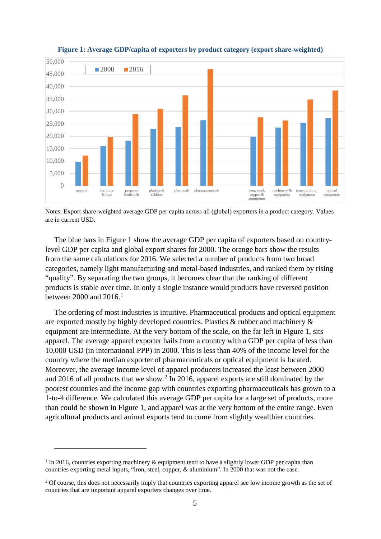<span id="page-6-0"></span>

#### **Figure 1: Average GDP/capita of exporters by product category (export share-weighted)**

Notes: Export share-weighted average GDP per capita across all (global) exporters in a product category. Values are in current USD.

The blue bars in [Figure 1](#page-6-0) show the average GDP per capita of exporters based on countrylevel GDP per capita and global export shares for 2000. The orange bars show the results from the same calculations for 2016. We selected a number of products from two broad categories, namely light manufacturing and metal-based industries, and ranked them by rising "quality". By separating the two groups, it becomes clear that the ranking of different products is stable over time. In only a single instance would products have reversed position between 2000 and 20[1](#page-6-1)6.<sup>1</sup>

The ordering of most industries is intuitive. Pharmaceutical products and optical equipment are exported mostly by highly developed countries. Plastics & rubber and machinery & equipment are intermediate. At the very bottom of the scale, on the far left in [Figure 1,](#page-6-0) sits apparel. The average apparel exporter hails from a country with a GDP per capita of less than 10,000 USD (in international PPP) in 2000. This is less than 40% of the income level for the country where the median exporter of pharmaceuticals or optical equipment is located. Moreover, the average income level of apparel producers increased the least between 2000 and 2016 of all products that we show. [2](#page-6-2) In 2016, apparel exports are still dominated by the poorest countries and the income gap with countries exporting pharmaceuticals has grown to a 1-to-4 difference. We calculated this average GDP per capita for a large set of products, more than could be shown in [Figure 1,](#page-6-0) and apparel was at the very bottom of the entire range. Even agricultural products and animal exports tend to come from slightly wealthier countries.

<span id="page-6-1"></span><sup>&</sup>lt;sup>1</sup> In 2016, countries exporting machinery & equipment tend to have a slightly lower GDP per capita than countries exporting metal inputs, "iron, steel, copper, & aluminium". In 2000 that was not the case.

<span id="page-6-2"></span><sup>&</sup>lt;sup>2</sup> Of course, this does not necessarily imply that countries exporting apparel see low income growth as the set of countries that are important apparel exporters changes over time.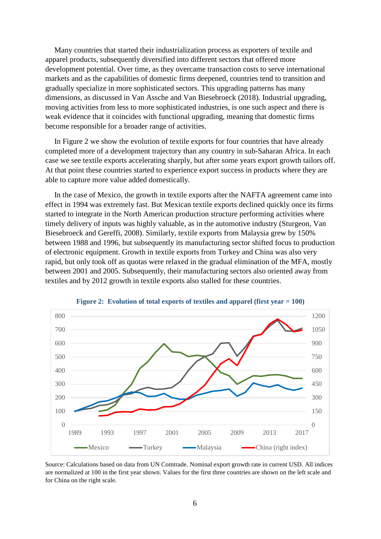Many countries that started their industrialization process as exporters of textile and apparel products, subsequently diversified into different sectors that offered more development potential. Over time, as they overcame transaction costs to serve international markets and as the capabilities of domestic firms deepened, countries tend to transition and gradually specialize in more sophisticated sectors. This upgrading patterns has many dimensions, as discussed in Van Assche and Van Biesebroeck (2018). Industrial upgrading, moving activities from less to more sophisticated industries, is one such aspect and there is weak evidence that it coincides with functional upgrading, meaning that domestic firms become responsible for a broader range of activities.

In [Figure 2](#page-7-0) we show the evolution of textile exports for four countries that have already completed more of a development trajectory than any country in sub-Saharan Africa. In each case we see textile exports accelerating sharply, but after some years export growth tailors off. At that point these countries started to experience export success in products where they are able to capture more value added domestically.

In the case of Mexico, the growth in textile exports after the NAFTA agreement came into effect in 1994 was extremely fast. But Mexican textile exports declined quickly once its firms started to integrate in the North American production structure performing activities where timely delivery of inputs was highly valuable, as in the automotive industry (Sturgeon, Van Biesebroeck and Gereffi, 2008). Similarly, textile exports from Malaysia grew by 150% between 1988 and 1996, but subsequently its manufacturing sector shifted focus to production of electronic equipment. Growth in textile exports from Turkey and China was also very rapid, but only took off as quotas were relaxed in the gradual elimination of the MFA, mostly between 2001 and 2005. Subsequently, their manufacturing sectors also oriented away from textiles and by 2012 growth in textile exports also stalled for these countries.

<span id="page-7-0"></span>

**Figure 2: Evolution of total exports of textiles and apparel (first year = 100)**

Source: Calculations based on data from UN Comtrade. Nominal export growth rate in current USD. All indices are normalized at 100 in the first year shown. Values for the first three countries are shown on the left scale and for China on the right scale.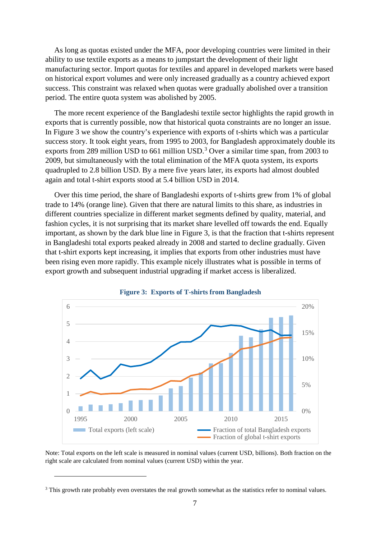As long as quotas existed under the MFA, poor developing countries were limited in their ability to use textile exports as a means to jumpstart the development of their light manufacturing sector. Import quotas for textiles and apparel in developed markets were based on historical export volumes and were only increased gradually as a country achieved export success. This constraint was relaxed when quotas were gradually abolished over a transition period. The entire quota system was abolished by 2005.

The more recent experience of the Bangladeshi textile sector highlights the rapid growth in exports that is currently possible, now that historical quota constraints are no longer an issue. In [Figure 3](#page-8-0) we show the country's experience with exports of t-shirts which was a particular success story. It took eight years, from 1995 to 2003, for Bangladesh approximately double its exports from 289 million USD to 661 million USD.<sup>[3](#page-8-1)</sup> Over a similar time span, from 2003 to 2009, but simultaneously with the total elimination of the MFA quota system, its exports quadrupled to 2.8 billion USD. By a mere five years later, its exports had almost doubled again and total t-shirt exports stood at 5.4 billion USD in 2014.

Over this time period, the share of Bangladeshi exports of t-shirts grew from 1% of global trade to 14% (orange line). Given that there are natural limits to this share, as industries in different countries specialize in different market segments defined by quality, material, and fashion cycles, it is not surprising that its market share levelled off towards the end. Equally important, as shown by the dark blue line in [Figure 3,](#page-8-0) is that the fraction that t-shirts represent in Bangladeshi total exports peaked already in 2008 and started to decline gradually. Given that t-shirt exports kept increasing, it implies that exports from other industries must have been rising even more rapidly. This example nicely illustrates what is possible in terms of export growth and subsequent industrial upgrading if market access is liberalized.

<span id="page-8-0"></span>

**Figure 3: Exports of T-shirts from Bangladesh**

Note: Total exports on the left scale is measured in nominal values (current USD, billions). Both fraction on the right scale are calculated from nominal values (current USD) within the year.

<span id="page-8-1"></span><sup>&</sup>lt;sup>3</sup> This growth rate probably even overstates the real growth somewhat as the statistics refer to nominal values.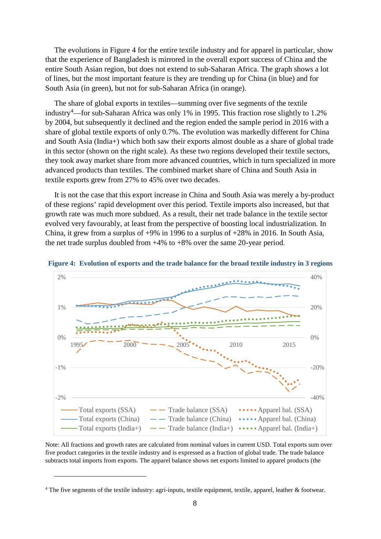The evolutions in [Figure 4](#page-9-0) for the entire textile industry and for apparel in particular, show that the experience of Bangladesh is mirrored in the overall export success of China and the entire South Asian region, but does not extend to sub-Saharan Africa. The graph shows a lot of lines, but the most important feature is they are trending up for China (in blue) and for South Asia (in green), but not for sub-Saharan Africa (in orange).

The share of global exports in textiles—summing over five segments of the textile industry[4](#page-9-1) —for sub-Saharan Africa was only 1% in 1995. This fraction rose slightly to 1.2% by 2004, but subsequently it declined and the region ended the sample period in 2016 with a share of global textile exports of only 0.7%. The evolution was markedly different for China and South Asia (India+) which both saw their exports almost double as a share of global trade in this sector (shown on the right scale). As these two regions developed their textile sectors, they took away market share from more advanced countries, which in turn specialized in more advanced products than textiles. The combined market share of China and South Asia in textile exports grew from 27% to 45% over two decades.

It is not the case that this export increase in China and South Asia was merely a by-product of these regions' rapid development over this period. Textile imports also increased, but that growth rate was much more subdued. As a result, their net trade balance in the textile sector evolved very favourably, at least from the perspective of boosting local industrialization. In China, it grew from a surplus of  $+9\%$  in 1996 to a surplus of  $+28\%$  in 2016. In South Asia, the net trade surplus doubled from +4% to +8% over the same 20-year period.



<span id="page-9-0"></span>

Note: All fractions and growth rates are calculated from nominal values in current USD. Total exports sum over five product categories in the textile industry and is expressed as a fraction of global trade. The trade balance subtracts total imports from exports. The apparel balance shows net exports limited to apparel products (the

<span id="page-9-1"></span><sup>4</sup> The five segments of the textile industry: agri-inputs, textile equipment, textile, apparel, leather & footwear.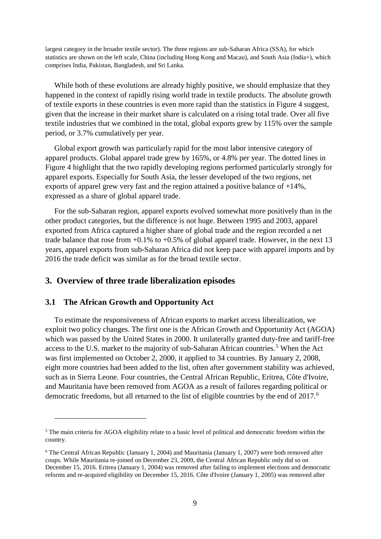largest category in the broader textile sector). The three regions are sub-Saharan Africa (SSA), for which statistics are shown on the left scale, China (including Hong Kong and Macau), and South Asia (India+), which comprises India, Pakistan, Bangladesh, and Sri Lanka.

While both of these evolutions are already highly positive, we should emphasize that they happened in the context of rapidly rising world trade in textile products. The absolute growth of textile exports in these countries is even more rapid than the statistics in [Figure 4](#page-9-0) suggest, given that the increase in their market share is calculated on a rising total trade. Over all five textile industries that we combined in the total, global exports grew by 115% over the sample period, or 3.7% cumulatively per year.

Global export growth was particularly rapid for the most labor intensive category of apparel products. Global apparel trade grew by 165%, or 4.8% per year. The dotted lines in [Figure 4](#page-9-0) highlight that the two rapidly developing regions performed particularly strongly for apparel exports. Especially for South Asia, the lesser developed of the two regions, net exports of apparel grew very fast and the region attained a positive balance of +14%, expressed as a share of global apparel trade.

For the sub-Saharan region, apparel exports evolved somewhat more positively than in the other product categories, but the difference is not huge. Between 1995 and 2003, apparel exported from Africa captured a higher share of global trade and the region recorded a net trade balance that rose from  $+0.1\%$  to  $+0.5\%$  of global apparel trade. However, in the next 13 years, apparel exports from sub-Saharan Africa did not keep pace with apparel imports and by 2016 the trade deficit was similar as for the broad textile sector.

# **3. Overview of three trade liberalization episodes**

#### **3.1 The African Growth and Opportunity Act**

 $\overline{a}$ 

To estimate the responsiveness of African exports to market access liberalization, we exploit two policy changes. The first one is the African Growth and Opportunity Act (AGOA) which was passed by the United States in 2000. It unilaterally granted duty-free and tariff-free access to the U.S. market to the majority of sub-Saharan African countries.<sup>[5](#page-10-0)</sup> When the Act was first implemented on October 2, 2000, it applied to 34 countries. By January 2, 2008, eight more countries had been added to the list, often after government stability was achieved, such as in Sierra Leone. Four countries, the Central African Republic, Eritrea, Côte d'Ivoire, and Mauritania have been removed from AGOA as a result of failures regarding political or democratic freedoms, but all returned to the list of eligible countries by the end of 2017.<sup>[6](#page-10-1)</sup>

<span id="page-10-0"></span><sup>5</sup> The main criteria for AGOA eligibility relate to a basic level of political and democratic freedom within the country.

<span id="page-10-1"></span><sup>6</sup> The Central African Republic (January 1, 2004) and Mauritania (January 1, 2007) were both removed after coups. While Mauritania re-joined on December 23, 2009, the Central African Republic only did so on December 15, 2016. Eritrea (January 1, 2004) was removed after failing to implement elections and democratic reforms and re-acquired eligibility on December 15, 2016. Côte d'Ivoire (January 1, 2005) was removed after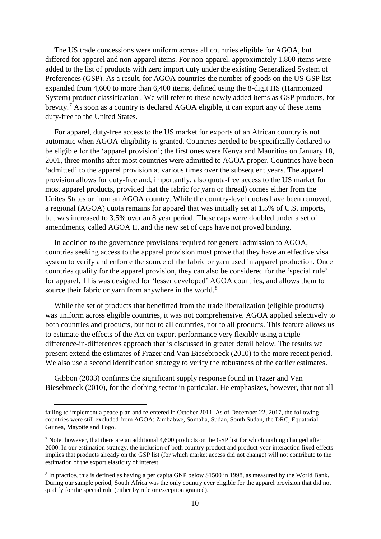The US trade concessions were uniform across all countries eligible for AGOA, but differed for apparel and non-apparel items. For non-apparel, approximately 1,800 items were added to the list of products with zero import duty under the existing Generalized System of Preferences (GSP). As a result, for AGOA countries the number of goods on the US GSP list expanded from 4,600 to more than 6,400 items, defined using the 8-digit HS (Harmonized System) product classification . We will refer to these newly added items as GSP products, for brevity.[7](#page-11-0) As soon as a country is declared AGOA eligible, it can export any of these items duty-free to the United States.

For apparel, duty-free access to the US market for exports of an African country is not automatic when AGOA-eligibility is granted. Countries needed to be specifically declared to be eligible for the 'apparel provision'; the first ones were Kenya and Mauritius on January 18, 2001, three months after most countries were admitted to AGOA proper. Countries have been 'admitted' to the apparel provision at various times over the subsequent years. The apparel provision allows for duty-free and, importantly, also quota-free access to the US market for most apparel products, provided that the fabric (or yarn or thread) comes either from the Unites States or from an AGOA country. While the country-level quotas have been removed, a regional (AGOA) quota remains for apparel that was initially set at 1.5% of U.S. imports, but was increased to 3.5% over an 8 year period. These caps were doubled under a set of amendments, called AGOA II, and the new set of caps have not proved binding.

In addition to the governance provisions required for general admission to AGOA, countries seeking access to the apparel provision must prove that they have an effective visa system to verify and enforce the source of the fabric or yarn used in apparel production. Once countries qualify for the apparel provision, they can also be considered for the 'special rule' for apparel. This was designed for 'lesser developed' AGOA countries, and allows them to source their fabric or yarn from anywhere in the world.<sup>[8](#page-11-1)</sup>

While the set of products that benefitted from the trade liberalization (eligible products) was uniform across eligible countries, it was not comprehensive. AGOA applied selectively to both countries and products, but not to all countries, nor to all products. This feature allows us to estimate the effects of the Act on export performance very flexibly using a triple difference-in-differences approach that is discussed in greater detail below. The results we present extend the estimates of Frazer and Van Biesebroeck (2010) to the more recent period. We also use a second identification strategy to verify the robustness of the earlier estimates.

Gibbon (2003) confirms the significant supply response found in Frazer and Van Biesebroeck (2010), for the clothing sector in particular. He emphasizes, however, that not all

failing to implement a peace plan and re-entered in October 2011. As of December 22, 2017, the following countries were still excluded from AGOA: Zimbabwe, Somalia, Sudan, South Sudan, the DRC, Equatorial Guinea, Mayotte and Togo.

<span id="page-11-0"></span><sup>7</sup> Note, however, that there are an additional 4,600 products on the GSP list for which nothing changed after 2000. In our estimation strategy, the inclusion of both country-product and product-year interaction fixed effects implies that products already on the GSP list (for which market access did not change) will not contribute to the estimation of the export elasticity of interest.

<span id="page-11-1"></span><sup>&</sup>lt;sup>8</sup> In practice, this is defined as having a per capita GNP below \$1500 in 1998, as measured by the World Bank. During our sample period, South Africa was the only country ever eligible for the apparel provision that did not qualify for the special rule (either by rule or exception granted).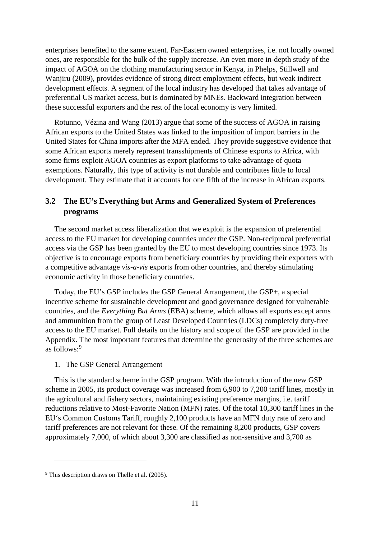enterprises benefited to the same extent. Far-Eastern owned enterprises, i.e. not locally owned ones, are responsible for the bulk of the supply increase. An even more in-depth study of the impact of AGOA on the clothing manufacturing sector in Kenya, in Phelps, Stillwell and Wanjiru (2009), provides evidence of strong direct employment effects, but weak indirect development effects. A segment of the local industry has developed that takes advantage of preferential US market access, but is dominated by MNEs. Backward integration between these successful exporters and the rest of the local economy is very limited.

Rotunno, Vézina and Wang (2013) argue that some of the success of AGOA in raising African exports to the United States was linked to the imposition of import barriers in the United States for China imports after the MFA ended. They provide suggestive evidence that some African exports merely represent transshipments of Chinese exports to Africa, with some firms exploit AGOA countries as export platforms to take advantage of quota exemptions. Naturally, this type of activity is not durable and contributes little to local development. They estimate that it accounts for one fifth of the increase in African exports.

# **3.2 The EU's Everything but Arms and Generalized System of Preferences programs**

The second market access liberalization that we exploit is the expansion of preferential access to the EU market for developing countries under the GSP. Non-reciprocal preferential access via the GSP has been granted by the EU to most developing countries since 1973. Its objective is to encourage exports from beneficiary countries by providing their exporters with a competitive advantage *vis-a-vis* exports from other countries, and thereby stimulating economic activity in those beneficiary countries.

Today, the EU's GSP includes the GSP General Arrangement, the GSP+, a special incentive scheme for sustainable development and good governance designed for vulnerable countries, and the *Everything But Arms* (EBA) scheme, which allows all exports except arms and ammunition from the group of Least Developed Countries (LDCs) completely duty-free access to the EU market. Full details on the history and scope of the GSP are provided in the Appendix. The most important features that determine the generosity of the three schemes are as follows: [9](#page-12-0)

#### 1. The GSP General Arrangement

This is the standard scheme in the GSP program. With the introduction of the new GSP scheme in 2005, its product coverage was increased from 6,900 to 7,200 tariff lines, mostly in the agricultural and fishery sectors, maintaining existing preference margins, i.e. tariff reductions relative to Most-Favorite Nation (MFN) rates. Of the total 10,300 tariff lines in the EU's Common Customs Tariff, roughly 2,100 products have an MFN duty rate of zero and tariff preferences are not relevant for these. Of the remaining 8,200 products, GSP covers approximately 7,000, of which about 3,300 are classified as non-sensitive and 3,700 as

<span id="page-12-0"></span><sup>9</sup> This description draws on Thelle et al. (2005).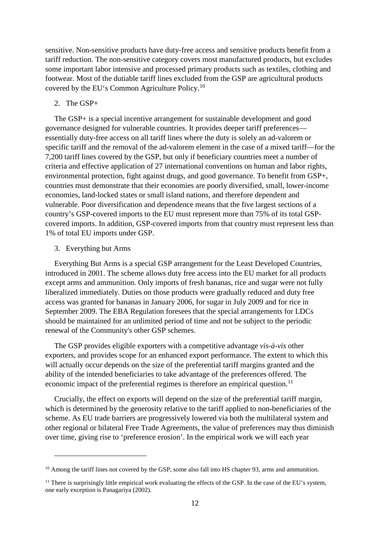sensitive. Non-sensitive products have duty-free access and sensitive products benefit from a tariff reduction. The non-sensitive category covers most manufactured products, but excludes some important labor intensive and processed primary products such as textiles, clothing and footwear. Most of the dutiable tariff lines excluded from the GSP are agricultural products covered by the EU's Common Agriculture Policy.[10](#page-13-0)

## 2. The GSP+

The GSP+ is a special incentive arrangement for sustainable development and good governance designed for vulnerable countries. It provides deeper tariff preferences essentially duty-free access on all tariff lines where the duty is solely an ad-valorem or specific tariff and the removal of the ad-valorem element in the case of a mixed tariff—for the 7,200 tariff lines covered by the GSP, but only if beneficiary countries meet a number of criteria and effective application of 27 international conventions on human and labor rights, environmental protection, fight against drugs, and good governance. To benefit from GSP+, countries must demonstrate that their economies are poorly diversified, small, lower-income economies, land-locked states or small island nations, and therefore dependent and vulnerable. Poor diversification and dependence means that the five largest sections of a country's GSP-covered imports to the EU must represent more than 75% of its total GSPcovered imports. In addition, GSP-covered imports from that country must represent less than 1% of total EU imports under GSP.

#### 3. Everything but Arms

 $\overline{a}$ 

Everything But Arms is a special GSP arrangement for the Least Developed Countries, introduced in 2001. The scheme allows duty free access into the EU market for all products except arms and ammunition. Only imports of fresh bananas, rice and sugar were not fully liberalized immediately. Duties on those products were gradually reduced and duty free access was granted for bananas in January 2006, for sugar in July 2009 and for rice in September 2009. The EBA Regulation foresees that the special arrangements for LDCs should be maintained for an unlimited period of time and not be subject to the periodic renewal of the Community's other GSP schemes.

The GSP provides eligible exporters with a competitive advantage *vis-à-vis* other exporters, and provides scope for an enhanced export performance. The extent to which this will actually occur depends on the size of the preferential tariff margins granted and the ability of the intended beneficiaries to take advantage of the preferences offered. The economic impact of the preferential regimes is therefore an empirical question.<sup>[11](#page-13-1)</sup>

Crucially, the effect on exports will depend on the size of the preferential tariff margin, which is determined by the generosity relative to the tariff applied to non-beneficiaries of the scheme. As EU trade barriers are progressively lowered via both the multilateral system and other regional or bilateral Free Trade Agreements, the value of preferences may thus diminish over time, giving rise to 'preference erosion'. In the empirical work we will each year

<span id="page-13-0"></span><sup>&</sup>lt;sup>10</sup> Among the tariff lines not covered by the GSP, some also fall into HS chapter 93, arms and ammunition.

<span id="page-13-1"></span> $11$  There is surprisingly little empirical work evaluating the effects of the GSP. In the case of the EU's system, one early exception is Panagariya (2002).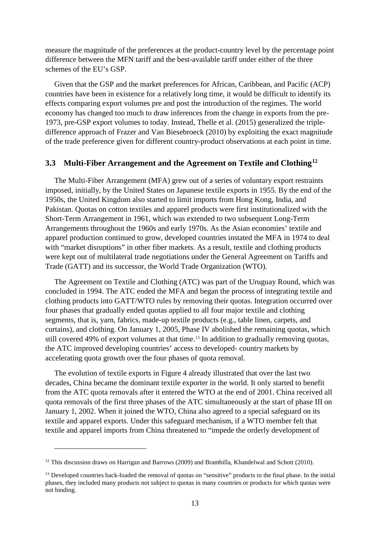measure the magnitude of the preferences at the product-country level by the percentage point difference between the MFN tariff and the best-available tariff under either of the three schemes of the EU's GSP.

Given that the GSP and the market preferences for African, Caribbean, and Pacific (ACP) countries have been in existence for a relatively long time, it would be difficult to identify its effects comparing export volumes pre and post the introduction of the regimes. The world economy has changed too much to draw inferences from the change in exports from the pre-1973, pre-GSP export volumes to today. Instead, Thelle et al. (2015) generalized the tripledifference approach of Frazer and Van Biesebroeck (2010) by exploiting the exact magnitude of the trade preference given for different country-product observations at each point in time.

# **3.3 Multi-Fiber Arrangement and the Agreement on Textile and Clothing[12](#page-14-0)**

The Multi-Fiber Arrangement (MFA) grew out of a series of voluntary export restraints imposed, initially, by the United States on Japanese textile exports in 1955. By the end of the 1950s, the United Kingdom also started to limit imports from Hong Kong, India, and Pakistan. Quotas on cotton textiles and apparel products were first institutionalized with the Short-Term Arrangement in 1961, which was extended to two subsequent Long-Term Arrangements throughout the 1960s and early 1970s. As the Asian economies' textile and apparel production continued to grow, developed countries instated the MFA in 1974 to deal with "market disruptions" in other fiber markets. As a result, textile and clothing products were kept out of multilateral trade negotiations under the General Agreement on Tariffs and Trade (GATT) and its successor, the World Trade Organization (WTO).

The Agreement on Textile and Clothing (ATC) was part of the Uruguay Round, which was concluded in 1994. The ATC ended the MFA and began the process of integrating textile and clothing products into GATT/WTO rules by removing their quotas. Integration occurred over four phases that gradually ended quotas applied to all four major textile and clothing segments, that is, yarn, fabrics, made-up textile products (e.g., table linen, carpets, and curtains), and clothing. On January 1, 2005, Phase IV abolished the remaining quotas, which still covered 49% of export volumes at that time.<sup>[13](#page-14-1)</sup> In addition to gradually removing quotas, the ATC improved developing countries' access to developed- country markets by accelerating quota growth over the four phases of quota removal.

The evolution of textile exports in [Figure 4](#page-9-0) already illustrated that over the last two decades, China became the dominant textile exporter in the world. It only started to benefit from the ATC quota removals after it entered the WTO at the end of 2001. China received all quota removals of the first three phases of the ATC simultaneously at the start of phase III on January 1, 2002. When it joined the WTO, China also agreed to a special safeguard on its textile and apparel exports. Under this safeguard mechanism, if a WTO member felt that textile and apparel imports from China threatened to "impede the orderly development of

<span id="page-14-0"></span><sup>&</sup>lt;sup>12</sup> This discussion draws on Harrigan and Barrows (2009) and Brambilla, Khandelwal and Schott (2010).

<span id="page-14-1"></span><sup>&</sup>lt;sup>13</sup> Developed countries back-loaded the removal of quotas on "sensitive" products to the final phase. In the initial phases, they included many products not subject to quotas in many countries or products for which quotas were not binding.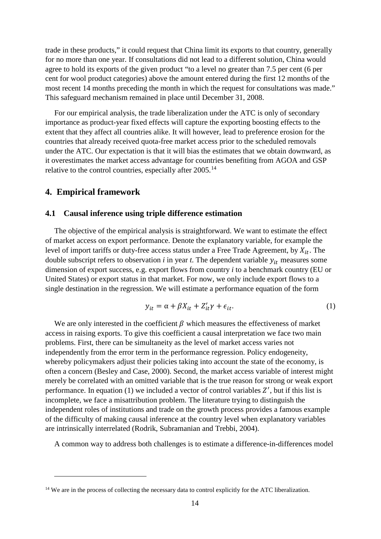trade in these products," it could request that China limit its exports to that country, generally for no more than one year. If consultations did not lead to a different solution, China would agree to hold its exports of the given product "to a level no greater than 7.5 per cent (6 per cent for wool product categories) above the amount entered during the first 12 months of the most recent 14 months preceding the month in which the request for consultations was made." This safeguard mechanism remained in place until December 31, 2008.

For our empirical analysis, the trade liberalization under the ATC is only of secondary importance as product-year fixed effects will capture the exporting boosting effects to the extent that they affect all countries alike. It will however, lead to preference erosion for the countries that already received quota-free market access prior to the scheduled removals under the ATC. Our expectation is that it will bias the estimates that we obtain downward, as it overestimates the market access advantage for countries benefiting from AGOA and GSP relative to the control countries, especially after 2005.<sup>[14](#page-15-0)</sup>

#### **4. Empirical framework**

 $\overline{a}$ 

#### **4.1 Causal inference using triple difference estimation**

The objective of the empirical analysis is straightforward. We want to estimate the effect of market access on export performance. Denote the explanatory variable, for example the level of import tariffs or duty-free access status under a Free Trade Agreement, by  $X_{it}$ . The double subscript refers to observation  $i$  in year  $t$ . The dependent variable  $y_{it}$  measures some dimension of export success, e.g. export flows from country *i* to a benchmark country (EU or United States) or export status in that market. For now, we only include export flows to a single destination in the regression. We will estimate a performance equation of the form

$$
y_{it} = \alpha + \beta X_{it} + Z_{it}' \gamma + \epsilon_{it}. \tag{1}
$$

We are only interested in the coefficient  $\beta$  which measures the effectiveness of market access in raising exports. To give this coefficient a causal interpretation we face two main problems. First, there can be simultaneity as the level of market access varies not independently from the error term in the performance regression. Policy endogeneity, whereby policymakers adjust their policies taking into account the state of the economy, is often a concern (Besley and Case, 2000). Second, the market access variable of interest might merely be correlated with an omitted variable that is the true reason for strong or weak export performance. In equation  $(1)$  we included a vector of control variables  $Z'$ , but if this list is incomplete, we face a misattribution problem. The literature trying to distinguish the independent roles of institutions and trade on the growth process provides a famous example of the difficulty of making causal inference at the country level when explanatory variables are intrinsically interrelated (Rodrik, Subramanian and Trebbi, 2004).

A common way to address both challenges is to estimate a difference-in-differences model

<span id="page-15-0"></span><sup>&</sup>lt;sup>14</sup> We are in the process of collecting the necessary data to control explicitly for the ATC liberalization.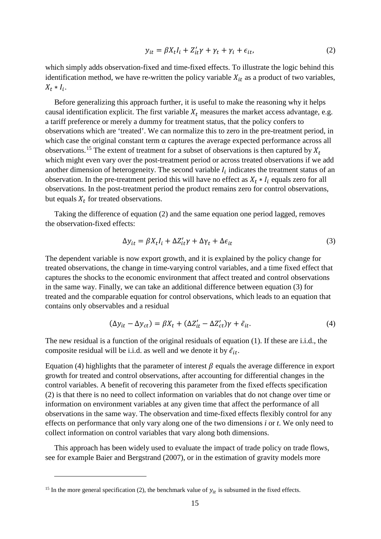$$
y_{it} = \beta X_t I_i + Z'_{it} \gamma + \gamma_t + \gamma_i + \epsilon_{it}, \qquad (2)
$$

which simply adds observation-fixed and time-fixed effects. To illustrate the logic behind this identification method, we have re-written the policy variable  $X_{it}$  as a product of two variables,  $X_t * I_i$ .

Before generalizing this approach further, it is useful to make the reasoning why it helps causal identification explicit. The first variable  $X_t$  measures the market access advantage, e.g. a tariff preference or merely a dummy for treatment status, that the policy confers to observations which are 'treated'. We can normalize this to zero in the pre-treatment period, in which case the original constant term  $\alpha$  captures the average expected performance across all observations.<sup>[15](#page-16-0)</sup> The extent of treatment for a subset of observations is then captured by  $X_t$ which might even vary over the post-treatment period or across treated observations if we add another dimension of heterogeneity. The second variable  $I_i$  indicates the treatment status of an observation. In the pre-treatment period this will have no effect as  $X_t * I_i$  equals zero for all observations. In the post-treatment period the product remains zero for control observations, but equals  $X_t$  for treated observations.

Taking the difference of equation (2) and the same equation one period lagged, removes the observation-fixed effects:

$$
\Delta y_{it} = \beta X_t I_i + \Delta Z'_{it} \gamma + \Delta \gamma_t + \Delta \epsilon_{it}
$$
\n(3)

The dependent variable is now export growth, and it is explained by the policy change for treated observations, the change in time-varying control variables, and a time fixed effect that captures the shocks to the economic environment that affect treated and control observations in the same way. Finally, we can take an additional difference between equation (3) for treated and the comparable equation for control observations, which leads to an equation that contains only observables and a residual

$$
(\Delta y_{it} - \Delta y_{ct}) = \beta X_t + (\Delta Z'_{it} - \Delta Z'_{ct})\gamma + \tilde{\epsilon}_{it}.
$$
\n(4)

The new residual is a function of the original residuals of equation (1). If these are i.i.d., the composite residual will be i.i.d. as well and we denote it by  $\tilde{\epsilon}_{it}$ .

Equation (4) highlights that the parameter of interest  $\beta$  equals the average difference in export growth for treated and control observations, after accounting for differential changes in the control variables. A benefit of recovering this parameter from the fixed effects specification (2) is that there is no need to collect information on variables that do not change over time or information on environment variables at any given time that affect the performance of all observations in the same way. The observation and time-fixed effects flexibly control for any effects on performance that only vary along one of the two dimensions *i* or *t*. We only need to collect information on control variables that vary along both dimensions.

This approach has been widely used to evaluate the impact of trade policy on trade flows, see for example Baier and Bergstrand (2007), or in the estimation of gravity models more

<span id="page-16-0"></span><sup>&</sup>lt;sup>15</sup> In the more general specification (2), the benchmark value of  $y_{it}$  is subsumed in the fixed effects.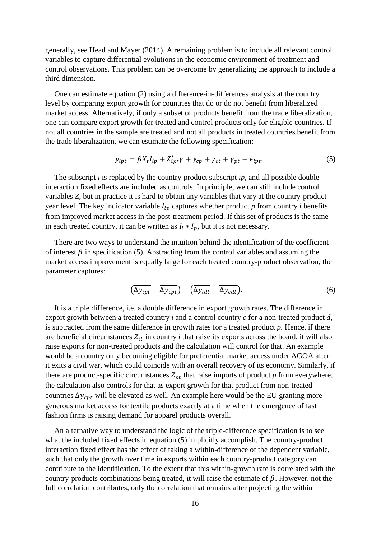generally, see Head and Mayer (2014). A remaining problem is to include all relevant control variables to capture differential evolutions in the economic environment of treatment and control observations. This problem can be overcome by generalizing the approach to include a third dimension.

One can estimate equation (2) using a difference-in-differences analysis at the country level by comparing export growth for countries that do or do not benefit from liberalized market access. Alternatively, if only a subset of products benefit from the trade liberalization, one can compare export growth for treated and control products only for eligible countries. If not all countries in the sample are treated and not all products in treated countries benefit from the trade liberalization, we can estimate the following specification:

$$
y_{ipt} = \beta X_t I_{ip} + Z'_{ipt} \gamma + \gamma_{cp} + \gamma_{ct} + \gamma_{pt} + \epsilon_{ipt}.
$$
\n<sup>(5)</sup>

The subscript *i* is replaced by the country-product subscript *ip,* and all possible doubleinteraction fixed effects are included as controls. In principle, we can still include control variables *Z,* but in practice it is hard to obtain any variables that vary at the country-productyear level. The key indicator variable  $I_{ip}$  captures whether product  $p$  from country  $i$  benefits from improved market access in the post-treatment period. If this set of products is the same in each treated country, it can be written as  $I_i * I_p$ , but it is not necessary.

There are two ways to understand the intuition behind the identification of the coefficient of interest  $\beta$  in specification (5). Abstracting from the control variables and assuming the market access improvement is equally large for each treated country-product observation, the parameter captures:

$$
\left(\overline{\Delta y_{ipt}} - \overline{\Delta y_{cpt}}\right) - \left(\overline{\Delta y_{idt}} - \overline{\Delta y_{cdt}}\right). \tag{6}
$$

It is a triple difference, i.e. a double difference in export growth rates. The difference in export growth between a treated country *i* and a control country *c* for a non-treated product *d*, is subtracted from the same difference in growth rates for a treated product *p.* Hence, if there are beneficial circumstances  $Z_{it}$  in country *i* that raise its exports across the board, it will also raise exports for non-treated products and the calculation will control for that. An example would be a country only becoming eligible for preferential market access under AGOA after it exits a civil war, which could coincide with an overall recovery of its economy. Similarly, if there are product-specific circumstances  $Z_{pt}$  that raise imports of product  $p$  from everywhere, the calculation also controls for that as export growth for that product from non-treated countries  $\Delta y_{cnt}$  will be elevated as well. An example here would be the EU granting more generous market access for textile products exactly at a time when the emergence of fast fashion firms is raising demand for apparel products overall.

An alternative way to understand the logic of the triple-difference specification is to see what the included fixed effects in equation (5) implicitly accomplish. The country-product interaction fixed effect has the effect of taking a within-difference of the dependent variable, such that only the growth over time in exports within each country-product category can contribute to the identification. To the extent that this within-growth rate is correlated with the country-products combinations being treated, it will raise the estimate of  $\beta$ . However, not the full correlation contributes, only the correlation that remains after projecting the within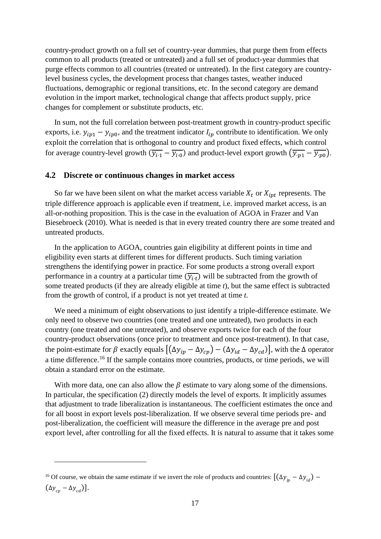country-product growth on a full set of country-year dummies, that purge them from effects common to all products (treated or untreated) and a full set of product-year dummies that purge effects common to all countries (treated or untreated). In the first category are countrylevel business cycles, the development process that changes tastes, weather induced fluctuations, demographic or regional transitions, etc. In the second category are demand evolution in the import market, technological change that affects product supply, price changes for complement or substitute products, etc.

In sum, not the full correlation between post-treatment growth in country-product specific exports, i.e.  $y_{ip1} - y_{ip0}$ , and the treatment indicator  $I_{ip}$  contribute to identification. We only exploit the correlation that is orthogonal to country and product fixed effects, which control for average country-level growth  $(\overline{y_{i\cdot 1}} - \overline{y_{i\cdot 0}})$  and product-level export growth  $(\overline{y_{\cdot p1}} - \overline{y_{\cdot p0}})$ .

#### **4.2 Discrete or continuous changes in market access**

So far we have been silent on what the market access variable  $X_t$  or  $X_{int}$  represents. The triple difference approach is applicable even if treatment, i.e. improved market access, is an all-or-nothing proposition. This is the case in the evaluation of AGOA in Frazer and Van Biesebroeck (2010). What is needed is that in every treated country there are some treated and untreated products.

In the application to AGOA, countries gain eligibility at different points in time and eligibility even starts at different times for different products. Such timing variation strengthens the identifying power in practice. For some products a strong overall export performance in a country at a particular time  $(\overline{y_{i,t}})$  will be subtracted from the growth of some treated products (if they are already eligible at time *t*), but the same effect is subtracted from the growth of control, if a product is not yet treated at time *t.*

We need a minimum of eight observations to just identify a triple-difference estimate. We only need to observe two countries (one treated and one untreated), two products in each country (one treated and one untreated), and observe exports twice for each of the four country-product observations (once prior to treatment and once post-treatment). In that case, the point-estimate for  $\beta$  exactly equals  $[(\Delta y_{ip} - \Delta y_{cp}) - (\Delta y_{id} - \Delta y_{cd})]$ , with the  $\Delta$  operator a time difference.<sup>[16](#page-18-0)</sup> If the sample contains more countries, products, or time periods, we will obtain a standard error on the estimate.

With more data, one can also allow the  $\beta$  estimate to vary along some of the dimensions. In particular, the specification (2) directly models the level of exports. It implicitly assumes that adjustment to trade liberalization is instantaneous. The coefficient estimates the once and for all boost in export levels post-liberalization. If we observe several time periods pre- and post-liberalization, the coefficient will measure the difference in the average pre and post export level, after controlling for all the fixed effects. It is natural to assume that it takes some

<span id="page-18-0"></span><sup>&</sup>lt;sup>16</sup> Of course, we obtain the same estimate if we invert the role of products and countries:  $[(\Delta y_{ip} - \Delta y_{id}) (\Delta y_{c} - \Delta y_{cd})$ ].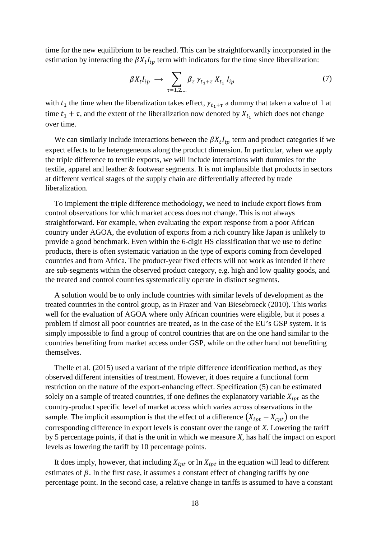time for the new equilibrium to be reached. This can be straightforwardly incorporated in the estimation by interacting the  $\beta X_t I_{ip}$  term with indicators for the time since liberalization:

$$
\beta X_t I_{ip} \longrightarrow \sum_{\tau=1,2,\dots} \beta_{\tau} \gamma_{t_1+\tau} X_{t_1} I_{ip} \tag{7}
$$

with  $t_1$  the time when the liberalization takes effect,  $\gamma_{t_1+\tau}$  a dummy that taken a value of 1 at time  $t_1 + \tau$ , and the extent of the liberalization now denoted by  $X_{t_1}$  which does not change over time.

We can similarly include interactions between the  $\beta X_t I_{ip}$  term and product categories if we expect effects to be heterogeneous along the product dimension. In particular, when we apply the triple difference to textile exports, we will include interactions with dummies for the textile, apparel and leather & footwear segments. It is not implausible that products in sectors at different vertical stages of the supply chain are differentially affected by trade liberalization.

To implement the triple difference methodology, we need to include export flows from control observations for which market access does not change. This is not always straightforward. For example, when evaluating the export response from a poor African country under AGOA, the evolution of exports from a rich country like Japan is unlikely to provide a good benchmark. Even within the 6-digit HS classification that we use to define products, there is often systematic variation in the type of exports coming from developed countries and from Africa. The product-year fixed effects will not work as intended if there are sub-segments within the observed product category, e.g. high and low quality goods, and the treated and control countries systematically operate in distinct segments.

A solution would be to only include countries with similar levels of development as the treated countries in the control group, as in Frazer and Van Biesebroeck (2010). This works well for the evaluation of AGOA where only African countries were eligible, but it poses a problem if almost all poor countries are treated, as in the case of the EU's GSP system. It is simply impossible to find a group of control countries that are on the one hand similar to the countries benefiting from market access under GSP, while on the other hand not benefitting themselves.

Thelle et al. (2015) used a variant of the triple difference identification method, as they observed different intensities of treatment. However, it does require a functional form restriction on the nature of the export-enhancing effect. Specification (5) can be estimated solely on a sample of treated countries, if one defines the explanatory variable  $X_{int}$  as the country-product specific level of market access which varies across observations in the sample. The implicit assumption is that the effect of a difference  $(X_{int} - X_{cpt})$  on the corresponding difference in export levels is constant over the range of *X.* Lowering the tariff by 5 percentage points, if that is the unit in which we measure *X*, has half the impact on export levels as lowering the tariff by 10 percentage points.

It does imply, however, that including  $X_{int}$  or  $\ln X_{int}$  in the equation will lead to different estimates of  $\beta$ . In the first case, it assumes a constant effect of changing tariffs by one percentage point. In the second case, a relative change in tariffs is assumed to have a constant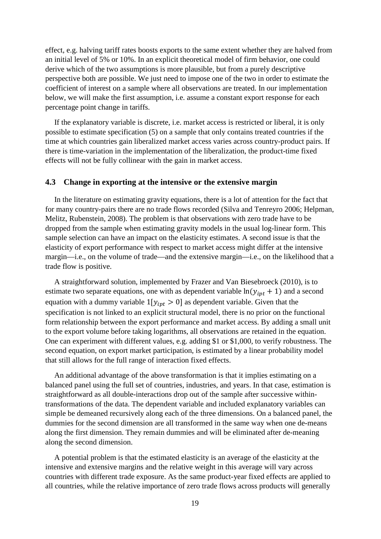effect, e.g. halving tariff rates boosts exports to the same extent whether they are halved from an initial level of 5% or 10%. In an explicit theoretical model of firm behavior, one could derive which of the two assumptions is more plausible, but from a purely descriptive perspective both are possible. We just need to impose one of the two in order to estimate the coefficient of interest on a sample where all observations are treated. In our implementation below, we will make the first assumption, i.e. assume a constant export response for each percentage point change in tariffs.

If the explanatory variable is discrete, i.e. market access is restricted or liberal, it is only possible to estimate specification (5) on a sample that only contains treated countries if the time at which countries gain liberalized market access varies across country-product pairs. If there is time-variation in the implementation of the liberalization, the product-time fixed effects will not be fully collinear with the gain in market access.

#### **4.3 Change in exporting at the intensive or the extensive margin**

In the literature on estimating gravity equations, there is a lot of attention for the fact that for many country-pairs there are no trade flows recorded (Silva and Tenreyro 2006; Helpman, Melitz, Rubenstein, 2008). The problem is that observations with zero trade have to be dropped from the sample when estimating gravity models in the usual log-linear form. This sample selection can have an impact on the elasticity estimates. A second issue is that the elasticity of export performance with respect to market access might differ at the intensive margin—i.e., on the volume of trade—and the extensive margin—i.e., on the likelihood that a trade flow is positive.

A straightforward solution, implemented by Frazer and Van Biesebroeck (2010), is to estimate two separate equations, one with as dependent variable  $ln(y_{int} + 1)$  and a second equation with a dummy variable  $1[y_{ipt} > 0]$  as dependent variable. Given that the specification is not linked to an explicit structural model, there is no prior on the functional form relationship between the export performance and market access. By adding a small unit to the export volume before taking logarithms, all observations are retained in the equation. One can experiment with different values, e.g. adding \$1 or \$1,000, to verify robustness. The second equation, on export market participation, is estimated by a linear probability model that still allows for the full range of interaction fixed effects.

An additional advantage of the above transformation is that it implies estimating on a balanced panel using the full set of countries, industries, and years. In that case, estimation is straightforward as all double-interactions drop out of the sample after successive withintransformations of the data. The dependent variable and included explanatory variables can simple be demeaned recursively along each of the three dimensions. On a balanced panel, the dummies for the second dimension are all transformed in the same way when one de-means along the first dimension. They remain dummies and will be eliminated after de-meaning along the second dimension.

A potential problem is that the estimated elasticity is an average of the elasticity at the intensive and extensive margins and the relative weight in this average will vary across countries with different trade exposure. As the same product-year fixed effects are applied to all countries, while the relative importance of zero trade flows across products will generally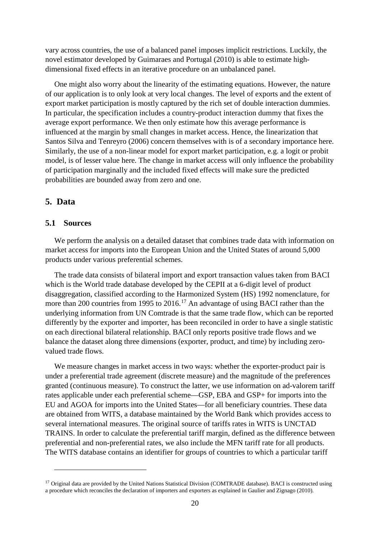vary across countries, the use of a balanced panel imposes implicit restrictions. Luckily, the novel estimator developed by Guimaraes and Portugal (2010) is able to estimate highdimensional fixed effects in an iterative procedure on an unbalanced panel.

One might also worry about the linearity of the estimating equations. However, the nature of our application is to only look at very local changes. The level of exports and the extent of export market participation is mostly captured by the rich set of double interaction dummies. In particular, the specification includes a country-product interaction dummy that fixes the average export performance. We then only estimate how this average performance is influenced at the margin by small changes in market access. Hence, the linearization that Santos Silva and Tenreyro (2006) concern themselves with is of a secondary importance here. Similarly, the use of a non-linear model for export market participation, e.g. a logit or probit model, is of lesser value here. The change in market access will only influence the probability of participation marginally and the included fixed effects will make sure the predicted probabilities are bounded away from zero and one.

# **5. Data**

 $\overline{a}$ 

# **5.1 Sources**

We perform the analysis on a detailed dataset that combines trade data with information on market access for imports into the European Union and the United States of around 5,000 products under various preferential schemes.

The trade data consists of bilateral import and export transaction values taken from BACI which is the World trade database developed by the CEPII at a 6-digit level of product disaggregation, classified according to the Harmonized System (HS) 1992 nomenclature, for more than 200 countries from 1995 to 2016.<sup>[17](#page-21-0)</sup> An advantage of using BACI rather than the underlying information from UN Comtrade is that the same trade flow, which can be reported differently by the exporter and importer, has been reconciled in order to have a single statistic on each directional bilateral relationship. BACI only reports positive trade flows and we balance the dataset along three dimensions (exporter, product, and time) by including zerovalued trade flows.

We measure changes in market access in two ways: whether the exporter-product pair is under a preferential trade agreement (discrete measure) and the magnitude of the preferences granted (continuous measure). To construct the latter, we use information on ad-valorem tariff rates applicable under each preferential scheme—GSP, EBA and GSP+ for imports into the EU and AGOA for imports into the United States—for all beneficiary countries. These data are obtained from WITS, a database maintained by the World Bank which provides access to several international measures. The original source of tariffs rates in WITS is UNCTAD TRAINS. In order to calculate the preferential tariff margin, defined as the difference between preferential and non-preferential rates, we also include the MFN tariff rate for all products. The WITS database contains an identifier for groups of countries to which a particular tariff

<span id="page-21-0"></span> $17$  Original data are provided by the United Nations Statistical Division (COMTRADE database). BACI is constructed using a procedure which reconciles the declaration of importers and exporters as explained in Gaulier and Zignago (2010).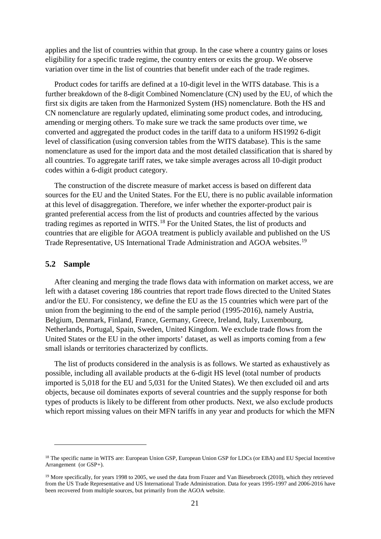applies and the list of countries within that group. In the case where a country gains or loses eligibility for a specific trade regime, the country enters or exits the group. We observe variation over time in the list of countries that benefit under each of the trade regimes.

Product codes for tariffs are defined at a 10-digit level in the WITS database. This is a further breakdown of the 8-digit Combined Nomenclature (CN) used by the EU, of which the first six digits are taken from the Harmonized System (HS) nomenclature. Both the HS and CN nomenclature are regularly updated, eliminating some product codes, and introducing, amending or merging others. To make sure we track the same products over time, we converted and aggregated the product codes in the tariff data to a uniform HS1992 6-digit level of classification (using conversion tables from the WITS database). This is the same nomenclature as used for the import data and the most detailed classification that is shared by all countries. To aggregate tariff rates, we take simple averages across all 10-digit product codes within a 6-digit product category.

The construction of the discrete measure of market access is based on different data sources for the EU and the United States. For the EU, there is no public available information at this level of disaggregation. Therefore, we infer whether the exporter-product pair is granted preferential access from the list of products and countries affected by the various trading regimes as reported in WITS.<sup>[18](#page-22-0)</sup> For the United States, the list of products and countries that are eligible for AGOA treatment is publicly available and published on the US Trade Representative, US International Trade Administration and AGOA websites.<sup>[19](#page-22-1)</sup>

#### **5.2 Sample**

 $\overline{a}$ 

After cleaning and merging the trade flows data with information on market access, we are left with a dataset covering 186 countries that report trade flows directed to the United States and/or the EU. For consistency, we define the EU as the 15 countries which were part of the union from the beginning to the end of the sample period (1995-2016), namely Austria, Belgium, Denmark, Finland, France, Germany, Greece, Ireland, Italy, Luxembourg, Netherlands, Portugal, Spain, Sweden, United Kingdom. We exclude trade flows from the United States or the EU in the other imports' dataset, as well as imports coming from a few small islands or territories characterized by conflicts.

The list of products considered in the analysis is as follows. We started as exhaustively as possible, including all available products at the 6-digit HS level (total number of products imported is 5,018 for the EU and 5,031 for the United States). We then excluded oil and arts objects, because oil dominates exports of several countries and the supply response for both types of products is likely to be different from other products. Next, we also exclude products which report missing values on their MFN tariffs in any year and products for which the MFN

<span id="page-22-0"></span><sup>&</sup>lt;sup>18</sup> The specific name in WITS are: European Union GSP, European Union GSP for LDCs (or EBA) and EU Special Incentive Arrangement (or GSP+).

<span id="page-22-1"></span><sup>&</sup>lt;sup>19</sup> More specifically, for years 1998 to 2005, we used the data from Frazer and Van Biesebroeck (2010), which they retrieved from the US Trade Representative and US International Trade Administration. Data for years 1995-1997 and 2006-2016 have been recovered from multiple sources, but primarily from the AGOA website.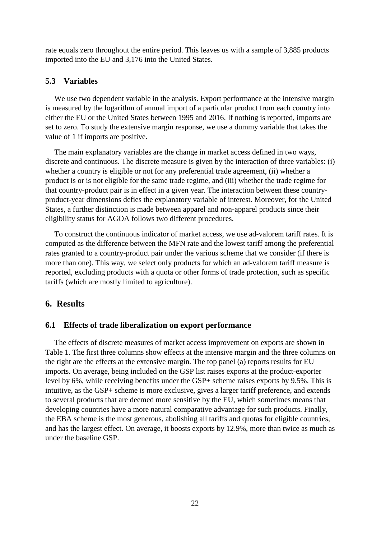rate equals zero throughout the entire period. This leaves us with a sample of 3,885 products imported into the EU and 3,176 into the United States.

# **5.3 Variables**

We use two dependent variable in the analysis. Export performance at the intensive margin is measured by the logarithm of annual import of a particular product from each country into either the EU or the United States between 1995 and 2016. If nothing is reported, imports are set to zero. To study the extensive margin response, we use a dummy variable that takes the value of 1 if imports are positive.

The main explanatory variables are the change in market access defined in two ways, discrete and continuous. The discrete measure is given by the interaction of three variables: (i) whether a country is eligible or not for any preferential trade agreement, (ii) whether a product is or is not eligible for the same trade regime, and (iii) whether the trade regime for that country-product pair is in effect in a given year. The interaction between these countryproduct-year dimensions defies the explanatory variable of interest. Moreover, for the United States, a further distinction is made between apparel and non-apparel products since their eligibility status for AGOA follows two different procedures.

To construct the continuous indicator of market access, we use ad-valorem tariff rates. It is computed as the difference between the MFN rate and the lowest tariff among the preferential rates granted to a country-product pair under the various scheme that we consider (if there is more than one). This way, we select only products for which an ad-valorem tariff measure is reported, excluding products with a quota or other forms of trade protection, such as specific tariffs (which are mostly limited to agriculture).

# **6. Results**

## **6.1 Effects of trade liberalization on export performance**

The effects of discrete measures of market access improvement on exports are shown in [Table 1.](#page-24-0) The first three columns show effects at the intensive margin and the three columns on the right are the effects at the extensive margin. The top panel (a) reports results for EU imports. On average, being included on the GSP list raises exports at the product-exporter level by 6%, while receiving benefits under the GSP+ scheme raises exports by 9.5%. This is intuitive, as the GSP+ scheme is more exclusive, gives a larger tariff preference, and extends to several products that are deemed more sensitive by the EU, which sometimes means that developing countries have a more natural comparative advantage for such products. Finally, the EBA scheme is the most generous, abolishing all tariffs and quotas for eligible countries, and has the largest effect. On average, it boosts exports by 12.9%, more than twice as much as under the baseline GSP.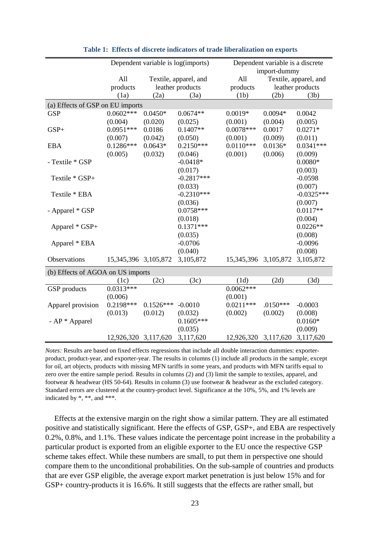<span id="page-24-0"></span>

|                                   | Dependent variable is log(imports) |                       |                  | Dependent variable is a discrete |              |                       |  |  |  |
|-----------------------------------|------------------------------------|-----------------------|------------------|----------------------------------|--------------|-----------------------|--|--|--|
|                                   |                                    |                       |                  |                                  | import-dummy |                       |  |  |  |
|                                   | All                                | Textile, apparel, and |                  | All                              |              | Textile, apparel, and |  |  |  |
|                                   | products                           |                       | leather products | products                         |              | leather products      |  |  |  |
|                                   | (1a)                               | (2a)                  | (3a)             | (1b)                             | (2b)         | (3b)                  |  |  |  |
| (a) Effects of GSP on EU imports  |                                    |                       |                  |                                  |              |                       |  |  |  |
| <b>GSP</b>                        | $0.0602***$                        | $0.0450*$             | $0.0674**$       | $0.0019*$                        | $0.0094*$    | 0.0042                |  |  |  |
|                                   | (0.004)                            | (0.020)               | (0.025)          | (0.001)                          | (0.004)      | (0.005)               |  |  |  |
| $GSP+$                            | $0.0951***$                        | 0.0186                | $0.1407**$       | $0.0078***$                      | 0.0017       | $0.0271*$             |  |  |  |
|                                   | (0.007)                            | (0.042)               | (0.050)          | (0.001)                          | (0.009)      | (0.011)               |  |  |  |
| <b>EBA</b>                        | $0.1286***$                        | $0.0643*$             | $0.2150***$      | $0.0110***$                      | $0.0136*$    | $0.0341***$           |  |  |  |
|                                   | (0.005)                            | (0.032)               | (0.046)          | (0.001)                          | (0.006)      | (0.009)               |  |  |  |
| - Textile * GSP                   |                                    |                       | $-0.0418*$       |                                  |              | $0.0080*$             |  |  |  |
|                                   |                                    |                       | (0.017)          |                                  |              | (0.003)               |  |  |  |
| Textile * GSP+                    |                                    |                       | $-0.2817***$     |                                  |              | $-0.0598$             |  |  |  |
|                                   |                                    |                       | (0.033)          |                                  |              | (0.007)               |  |  |  |
| Textile * EBA                     |                                    |                       | $-0.2310***$     |                                  |              | $-0.0325***$          |  |  |  |
|                                   |                                    |                       | (0.036)          |                                  |              | (0.007)               |  |  |  |
| - Apparel * GSP                   |                                    |                       | 0.0758***        |                                  |              | $0.0117**$            |  |  |  |
|                                   |                                    |                       | (0.018)          |                                  |              | (0.004)               |  |  |  |
| Apparel * GSP+                    |                                    |                       | $0.1371***$      |                                  |              | $0.0226**$            |  |  |  |
|                                   |                                    |                       | (0.035)          |                                  |              | (0.008)               |  |  |  |
| Apparel * EBA                     |                                    |                       | $-0.0706$        |                                  |              | $-0.0096$             |  |  |  |
|                                   |                                    |                       | (0.040)          |                                  |              | (0.008)               |  |  |  |
| Observations                      | 15, 345, 396 3, 105, 872           |                       | 3,105,872        | 15, 345, 396 3, 105, 872         |              | 3,105,872             |  |  |  |
| (b) Effects of AGOA on US imports |                                    |                       |                  |                                  |              |                       |  |  |  |
|                                   | (1c)                               | (2c)                  | (3c)             | (1d)                             | (2d)         | (3d)                  |  |  |  |
| GSP products                      | $0.0313***$                        |                       |                  | $0.0062***$                      |              |                       |  |  |  |
|                                   | (0.006)                            |                       |                  | (0.001)                          |              |                       |  |  |  |
| Apparel provision                 | 0.2198***                          | $0.1526***$           | $-0.0010$        | $0.0211***$                      | $.0150***$   | $-0.0003$             |  |  |  |
|                                   | (0.013)                            | (0.012)               | (0.032)          | (0.002)                          | (0.002)      | (0.008)               |  |  |  |
| - AP * Apparel                    |                                    |                       | $0.1605***$      |                                  |              | $0.0160*$             |  |  |  |
|                                   |                                    |                       | (0.035)          |                                  |              | (0.009)               |  |  |  |
|                                   | 12,926,320 3,117,620               |                       | 3,117,620        | 12,926,320 3,117,620             |              | 3,117,620             |  |  |  |

**Table 1: Effects of discrete indicators of trade liberalization on exports**

*Notes:* Results are based on fixed effects regressions that include all double interaction dummies: exporterproduct, product-year, and exporter-year. The results in columns (1) include all products in the sample, except for oil, art objects, products with missing MFN tariffs in some years, and products with MFN tariffs equal to zero over the entire sample period. Results in columns (2) and (3) limit the sample to textiles, apparel, and footwear & headwear (HS 50-64). Results in column (3) use footwear & headwear as the excluded category. Standard errors are clustered at the country-product level. Significance at the 10%, 5%, and 1% levels are indicated by \*, \*\*, and \*\*\*.

Effects at the extensive margin on the right show a similar pattern. They are all estimated positive and statistically significant. Here the effects of GSP, GSP+, and EBA are respectively 0.2%, 0.8%, and 1.1%. These values indicate the percentage point increase in the probability a particular product is exported from an eligible exporter to the EU once the respective GSP scheme takes effect. While these numbers are small, to put them in perspective one should compare them to the unconditional probabilities. On the sub-sample of countries and products that are ever GSP eligible, the average export market penetration is just below 15% and for GSP+ country-products it is 16.6%. It still suggests that the effects are rather small, but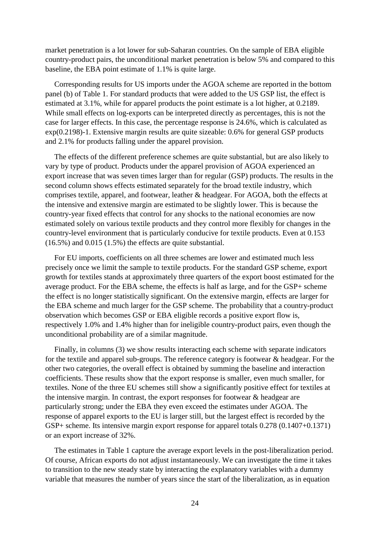market penetration is a lot lower for sub-Saharan countries. On the sample of EBA eligible country-product pairs, the unconditional market penetration is below 5% and compared to this baseline, the EBA point estimate of 1.1% is quite large.

Corresponding results for US imports under the AGOA scheme are reported in the bottom panel (b) of [Table 1.](#page-24-0) For standard products that were added to the US GSP list, the effect is estimated at 3.1%, while for apparel products the point estimate is a lot higher, at 0.2189. While small effects on log-exports can be interpreted directly as percentages, this is not the case for larger effects. In this case, the percentage response is 24.6%, which is calculated as exp(0.2198)-1. Extensive margin results are quite sizeable: 0.6% for general GSP products and 2.1% for products falling under the apparel provision.

The effects of the different preference schemes are quite substantial, but are also likely to vary by type of product. Products under the apparel provision of AGOA experienced an export increase that was seven times larger than for regular (GSP) products. The results in the second column shows effects estimated separately for the broad textile industry, which comprises textile, apparel, and footwear, leather & headgear. For AGOA, both the effects at the intensive and extensive margin are estimated to be slightly lower. This is because the country-year fixed effects that control for any shocks to the national economies are now estimated solely on various textile products and they control more flexibly for changes in the country-level environment that is particularly conducive for textile products. Even at 0.153 (16.5%) and 0.015 (1.5%) the effects are quite substantial.

For EU imports, coefficients on all three schemes are lower and estimated much less precisely once we limit the sample to textile products. For the standard GSP scheme, export growth for textiles stands at approximately three quarters of the export boost estimated for the average product. For the EBA scheme, the effects is half as large, and for the GSP+ scheme the effect is no longer statistically significant. On the extensive margin, effects are larger for the EBA scheme and much larger for the GSP scheme. The probability that a country-product observation which becomes GSP or EBA eligible records a positive export flow is, respectively 1.0% and 1.4% higher than for ineligible country-product pairs, even though the unconditional probability are of a similar magnitude.

Finally, in columns (3) we show results interacting each scheme with separate indicators for the textile and apparel sub-groups. The reference category is footwear & headgear. For the other two categories, the overall effect is obtained by summing the baseline and interaction coefficients. These results show that the export response is smaller, even much smaller, for textiles. None of the three EU schemes still show a significantly positive effect for textiles at the intensive margin. In contrast, the export responses for footwear & headgear are particularly strong; under the EBA they even exceed the estimates under AGOA. The response of apparel exports to the EU is larger still, but the largest effect is recorded by the GSP+ scheme. Its intensive margin export response for apparel totals 0.278 (0.1407+0.1371) or an export increase of 32%.

The estimates in [Table 1](#page-24-0) capture the average export levels in the post-liberalization period. Of course, African exports do not adjust instantaneously. We can investigate the time it takes to transition to the new steady state by interacting the explanatory variables with a dummy variable that measures the number of years since the start of the liberalization, as in equation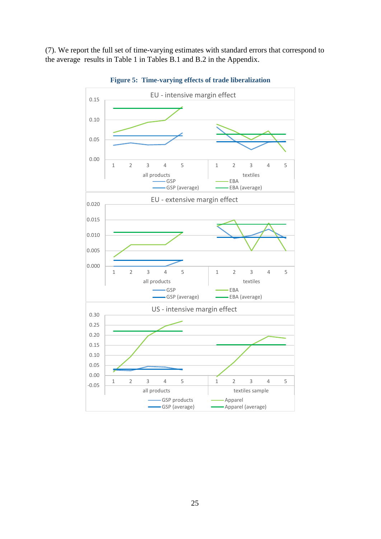(7). We report the full set of time-varying estimates with standard errors that correspond to the average results in Table 1 in Tables B.1 and B.2 in the Appendix.



**Figure 5: Time-varying effects of trade liberalization**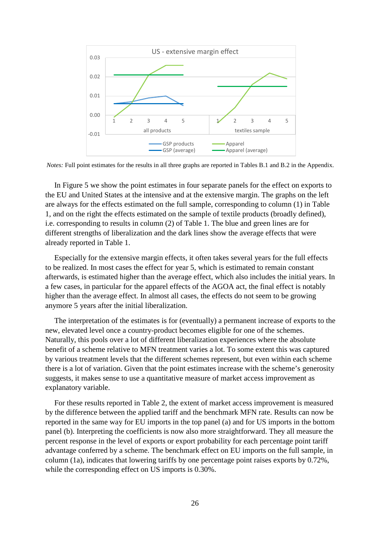

*Notes:* Full point estimates for the results in all three graphs are reported in Tables B.1 and B.2 in the Appendix.

In Figure 5 we show the point estimates in four separate panels for the effect on exports to the EU and United States at the intensive and at the extensive margin. The graphs on the left are always for the effects estimated on the full sample, corresponding to column (1) in Table 1, and on the right the effects estimated on the sample of textile products (broadly defined), i.e. corresponding to results in column (2) of Table 1. The blue and green lines are for different strengths of liberalization and the dark lines show the average effects that were already reported in Table 1.

Especially for the extensive margin effects, it often takes several years for the full effects to be realized. In most cases the effect for year 5, which is estimated to remain constant afterwards, is estimated higher than the average effect, which also includes the initial years. In a few cases, in particular for the apparel effects of the AGOA act, the final effect is notably higher than the average effect. In almost all cases, the effects do not seem to be growing anymore 5 years after the initial liberalization.

The interpretation of the estimates is for (eventually) a permanent increase of exports to the new, elevated level once a country-product becomes eligible for one of the schemes. Naturally, this pools over a lot of different liberalization experiences where the absolute benefit of a scheme relative to MFN treatment varies a lot. To some extent this was captured by various treatment levels that the different schemes represent, but even within each scheme there is a lot of variation. Given that the point estimates increase with the scheme's generosity suggests, it makes sense to use a quantitative measure of market access improvement as explanatory variable.

For these results reported in [Table 2,](#page-28-0) the extent of market access improvement is measured by the difference between the applied tariff and the benchmark MFN rate. Results can now be reported in the same way for EU imports in the top panel (a) and for US imports in the bottom panel (b). Interpreting the coefficients is now also more straightforward. They all measure the percent response in the level of exports or export probability for each percentage point tariff advantage conferred by a scheme. The benchmark effect on EU imports on the full sample, in column (1a), indicates that lowering tariffs by one percentage point raises exports by 0.72%, while the corresponding effect on US imports is 0.30%.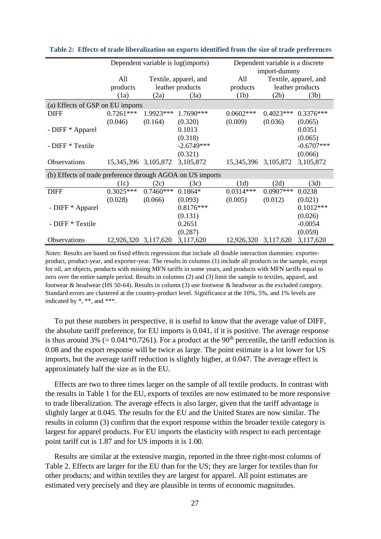|                                                            |                          |             | Dependent variable is log(imports) | Dependent variable is a discrete |                       |              |  |  |  |
|------------------------------------------------------------|--------------------------|-------------|------------------------------------|----------------------------------|-----------------------|--------------|--|--|--|
|                                                            |                          |             |                                    | import-dummy                     |                       |              |  |  |  |
|                                                            | All                      |             | Textile, apparel, and              | All                              | Textile, apparel, and |              |  |  |  |
|                                                            | products                 |             | leather products                   | products                         | leather products      |              |  |  |  |
|                                                            | (1a)                     | (2a)        | (3a)                               | (1b)                             | (2b)                  | (3b)         |  |  |  |
| (a) Effects of GSP on EU imports                           |                          |             |                                    |                                  |                       |              |  |  |  |
| <b>DIFF</b>                                                | $0.7261***$              | 1.9923***   | 1.7690***                          | $0.0602***$                      | $0.4023***$           | $0.3376***$  |  |  |  |
|                                                            | (0.046)                  | (0.164)     | (0.320)                            | (0.009)                          | (0.036)               | (0.065)      |  |  |  |
| - DIFF * Apparel                                           |                          |             | 0.1013                             |                                  |                       | 0.0351       |  |  |  |
|                                                            |                          |             | (0.318)                            |                                  |                       | (0.065)      |  |  |  |
| - DIFF * Textile                                           |                          |             | $-2.6749***$                       |                                  |                       | $-0.6707***$ |  |  |  |
|                                                            |                          |             | (0.321)                            |                                  |                       | (0.066)      |  |  |  |
| Observations                                               | 15, 345, 396 3, 105, 872 |             | 3,105,872                          | 15, 345, 396 3, 105, 872         |                       | 3,105,872    |  |  |  |
| (b) Effects of trade preference through AGOA on US imports |                          |             |                                    |                                  |                       |              |  |  |  |
|                                                            | (1c)                     | (2c)        | (3c)                               | (1d)                             | (2d)                  | (3d)         |  |  |  |
| <b>DIFF</b>                                                | $0.3025***$              | $0.7460***$ | $0.1864*$                          | $0.0314***$                      | $0.0907***$           | 0.0238       |  |  |  |
|                                                            | (0.028)                  | (0.066)     | (0.093)                            | (0.005)                          | (0.012)               | (0.021)      |  |  |  |
| - DIFF * Apparel                                           |                          |             | $0.8176***$                        |                                  |                       | $0.1012***$  |  |  |  |
|                                                            |                          |             | (0.131)                            |                                  |                       | (0.026)      |  |  |  |
| - DIFF * Textile                                           |                          |             | 0.2651                             |                                  |                       | $-0.0054$    |  |  |  |
|                                                            |                          |             | (0.287)                            |                                  |                       | (0.059)      |  |  |  |
| Observations                                               | 12,926,320 3,117,620     |             | 3,117,620                          | 12,926,320 3,117,620             |                       | 3,117,620    |  |  |  |

<span id="page-28-0"></span>

|  |  |  | Table 2: Effects of trade liberalization on exports identified from the size of trade preferences |  |  |  |  |  |  |  |  |  |  |  |  |
|--|--|--|---------------------------------------------------------------------------------------------------|--|--|--|--|--|--|--|--|--|--|--|--|
|--|--|--|---------------------------------------------------------------------------------------------------|--|--|--|--|--|--|--|--|--|--|--|--|

*Notes:* Results are based on fixed effects regressions that include all double interaction dummies: exporterproduct, product-year, and exporter-year. The results in columns (1) include all products in the sample, except for oil, art objects, products with missing MFN tariffs in some years, and products with MFN tariffs equal to zero over the entire sample period. Results in columns (2) and (3) limit the sample to textiles, apparel, and footwear & headwear (HS 50-64). Results in column (3) use footwear & headwear as the excluded category. Standard errors are clustered at the country-product level. Significance at the 10%, 5%, and 1% levels are indicated by \*, \*\*, and \*\*\*.

To put these numbers in perspective, it is useful to know that the average value of DIFF, the absolute tariff preference, for EU imports is 0.041, if it is positive. The average response is thus around 3% (=  $0.041*0.7261$ ). For a product at the 90<sup>th</sup> percentile, the tariff reduction is 0.08 and the export response will be twice as large. The point estimate is a lot lower for US imports, but the average tariff reduction is slightly higher, at 0.047. The average effect is approximately half the size as in the EU.

Effects are two to three times larger on the sample of all textile products. In contrast with the results in [Table 1](#page-24-0) for the EU, exports of textiles are now estimated to be more responsive to trade liberalization. The average effects is also larger, given that the tariff advantage is slightly larger at 0.045. The results for the EU and the United States are now similar. The results in column (3) confirm that the export response within the broader textile category is largest for apparel products. For EU imports the elasticity with respect to each percentage point tariff cut is 1.87 and for US imports it is 1.00.

Results are similar at the extensive margin, reported in the three right-most columns of [Table 2.](#page-28-0) Effects are larger for the EU than for the US; they are larger for textiles than for other products; and within textiles they are largest for apparel. All point estimates are estimated very precisely and they are plausible in terms of economic magnitudes.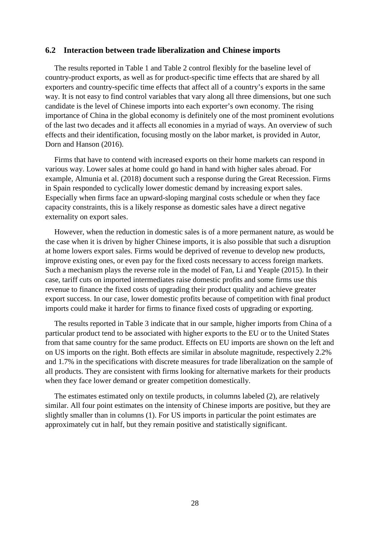#### **6.2 Interaction between trade liberalization and Chinese imports**

The results reported in [Table 1](#page-24-0) and [Table 2](#page-28-0) control flexibly for the baseline level of country-product exports, as well as for product-specific time effects that are shared by all exporters and country-specific time effects that affect all of a country's exports in the same way. It is not easy to find control variables that vary along all three dimensions, but one such candidate is the level of Chinese imports into each exporter's own economy. The rising importance of China in the global economy is definitely one of the most prominent evolutions of the last two decades and it affects all economies in a myriad of ways. An overview of such effects and their identification, focusing mostly on the labor market, is provided in Autor, Dorn and Hanson (2016).

Firms that have to contend with increased exports on their home markets can respond in various way. Lower sales at home could go hand in hand with higher sales abroad. For example, Almunia et al. (2018) document such a response during the Great Recession. Firms in Spain responded to cyclically lower domestic demand by increasing export sales. Especially when firms face an upward-sloping marginal costs schedule or when they face capacity constraints, this is a likely response as domestic sales have a direct negative externality on export sales.

However, when the reduction in domestic sales is of a more permanent nature, as would be the case when it is driven by higher Chinese imports, it is also possible that such a disruption at home lowers export sales. Firms would be deprived of revenue to develop new products, improve existing ones, or even pay for the fixed costs necessary to access foreign markets. Such a mechanism plays the reverse role in the model of Fan, Li and Yeaple (2015). In their case, tariff cuts on imported intermediates raise domestic profits and some firms use this revenue to finance the fixed costs of upgrading their product quality and achieve greater export success. In our case, lower domestic profits because of competition with final product imports could make it harder for firms to finance fixed costs of upgrading or exporting.

The results reported in [Table 3](#page-30-0) indicate that in our sample, higher imports from China of a particular product tend to be associated with higher exports to the EU or to the United States from that same country for the same product. Effects on EU imports are shown on the left and on US imports on the right. Both effects are similar in absolute magnitude, respectively 2.2% and 1.7% in the specifications with discrete measures for trade liberalization on the sample of all products. They are consistent with firms looking for alternative markets for their products when they face lower demand or greater competition domestically.

The estimates estimated only on textile products, in columns labeled (2), are relatively similar. All four point estimates on the intensity of Chinese imports are positive, but they are slightly smaller than in columns (1). For US imports in particular the point estimates are approximately cut in half, but they remain positive and statistically significant.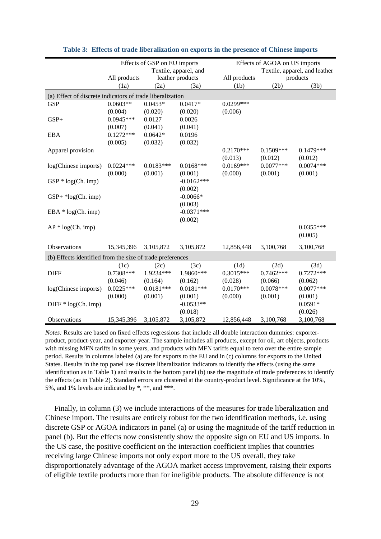<span id="page-30-0"></span>

|                                                           | Effects of GSP on EU imports |             |                       |              | Effects of AGOA on US imports |             |  |  |  |
|-----------------------------------------------------------|------------------------------|-------------|-----------------------|--------------|-------------------------------|-------------|--|--|--|
|                                                           |                              |             | Textile, apparel, and |              | Textile, apparel, and leather |             |  |  |  |
|                                                           | All products                 |             | leather products      | All products |                               | products    |  |  |  |
|                                                           | (1a)                         | (2a)        | (3a)                  | (1b)         | (2b)                          | (3b)        |  |  |  |
| (a) Effect of discrete indicators of trade liberalization |                              |             |                       |              |                               |             |  |  |  |
| <b>GSP</b>                                                | $0.0603**$                   | $0.0453*$   | $0.0417*$             | $0.0299***$  |                               |             |  |  |  |
|                                                           | (0.004)                      | (0.020)     | (0.020)               | (0.006)      |                               |             |  |  |  |
| $GSP+$                                                    | $0.0945***$                  | 0.0127      | 0.0026                |              |                               |             |  |  |  |
|                                                           | (0.007)                      | (0.041)     | (0.041)               |              |                               |             |  |  |  |
| <b>EBA</b>                                                | $0.1272***$                  | $0.0642*$   | 0.0196                |              |                               |             |  |  |  |
|                                                           | (0.005)                      | (0.032)     | (0.032)               |              |                               |             |  |  |  |
| Apparel provision                                         |                              |             |                       | $0.2170***$  | $0.1509***$                   | $0.1479***$ |  |  |  |
|                                                           |                              |             |                       | (0.013)      | (0.012)                       | (0.012)     |  |  |  |
| log(Chinese imports)                                      | $0.0224***$                  | $0.0183***$ | $0.0168***$           | $0.0169***$  | $0.0077***$                   | $0.0074***$ |  |  |  |
|                                                           | (0.000)                      | (0.001)     | (0.001)               | (0.000)      | (0.001)                       | (0.001)     |  |  |  |
| $GSP * log(Ch. imp)$                                      |                              |             | $-0.0162***$          |              |                               |             |  |  |  |
|                                                           |                              |             | (0.002)               |              |                               |             |  |  |  |
| $GSP+ *log(Ch. imp)$                                      |                              |             | $-0.0066*$            |              |                               |             |  |  |  |
|                                                           |                              |             | (0.003)               |              |                               |             |  |  |  |
| $EBA * log(Ch. imp)$                                      |                              |             | $-0.0371***$          |              |                               |             |  |  |  |
|                                                           |                              |             | (0.002)               |              |                               |             |  |  |  |
| $AP * log(Ch. imp)$                                       |                              |             |                       |              |                               | $0.0355***$ |  |  |  |
|                                                           |                              |             |                       |              |                               | (0.005)     |  |  |  |
| Observations                                              | 15,345,396                   | 3,105,872   | 3,105,872             | 12,856,448   | 3,100,768                     | 3,100,768   |  |  |  |
|                                                           |                              |             |                       |              |                               |             |  |  |  |
| (b) Effects identified from the size of trade preferences |                              |             |                       |              |                               |             |  |  |  |
|                                                           | (1c)                         | (2c)        | (3c)                  | (1d)         | (2d)                          | (3d)        |  |  |  |
| <b>DIFF</b>                                               | 0.7308***                    | 1.9234***   | 1.9860***             | $0.3015***$  | $0.7462***$                   | $0.7272***$ |  |  |  |
|                                                           | (0.046)                      | (0.164)     | (0.162)               | (0.028)      | (0.066)                       | (0.062)     |  |  |  |
| log(Chinese imports)                                      | $0.0225***$                  | $0.0181***$ | $0.0181***$           | $0.0170***$  | $0.0078***$                   | $0.0077***$ |  |  |  |
|                                                           | (0.000)                      | (0.001)     | (0.001)               | (0.000)      | (0.001)                       | (0.001)     |  |  |  |
| $DIFF * log(Ch. Imp)$                                     |                              |             | $-0.0533**$           |              |                               | $0.0591*$   |  |  |  |
|                                                           |                              |             | (0.018)               |              |                               | (0.026)     |  |  |  |
| Observations                                              | 15,345,396                   | 3,105,872   | 3,105,872             | 12,856,448   | 3,100,768                     | 3,100,768   |  |  |  |

#### **Table 3: Effects of trade liberalization on exports in the presence of Chinese imports**

*Notes:* Results are based on fixed effects regressions that include all double interaction dummies: exporterproduct, product-year, and exporter-year. The sample includes all products, except for oil, art objects, products with missing MFN tariffs in some years, and products with MFN tariffs equal to zero over the entire sample period. Results in columns labeled (a) are for exports to the EU and in (c) columns for exports to the United States. Results in the top panel use discrete liberalization indicators to identify the effects (using the same identification as in Table 1) and results in the bottom panel (b) use the magnitude of trade preferences to identify the effects (as in Table 2). Standard errors are clustered at the country-product level. Significance at the 10%, 5%, and 1% levels are indicated by \*, \*\*, and \*\*\*.

Finally, in column (3) we include interactions of the measures for trade liberalization and Chinese import. The results are entirely robust for the two identification methods, i.e. using discrete GSP or AGOA indicators in panel (a) or using the magnitude of the tariff reduction in panel (b). But the effects now consistently show the opposite sign on EU and US imports. In the US case, the positive coefficient on the interaction coefficient implies that countries receiving large Chinese imports not only export more to the US overall, they take disproportionately advantage of the AGOA market access improvement, raising their exports of eligible textile products more than for ineligible products. The absolute difference is not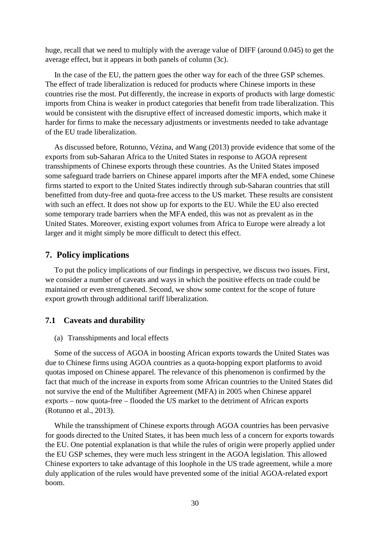huge, recall that we need to multiply with the average value of DIFF (around 0.045) to get the average effect, but it appears in both panels of column (3c).

In the case of the EU, the pattern goes the other way for each of the three GSP schemes. The effect of trade liberalization is reduced for products where Chinese imports in these countries rise the most. Put differently, the increase in exports of products with large domestic imports from China is weaker in product categories that benefit from trade liberalization. This would be consistent with the disruptive effect of increased domestic imports, which make it harder for firms to make the necessary adjustments or investments needed to take advantage of the EU trade liberalization.

As discussed before, Rotunno, Vézina, and Wang (2013) provide evidence that some of the exports from sub-Saharan Africa to the United States in response to AGOA represent transshipments of Chinese exports through these countries. As the United States imposed some safeguard trade barriers on Chinese apparel imports after the MFA ended, some Chinese firms started to export to the United States indirectly through sub-Saharan countries that still benefitted from duty-free and quota-free access to the US market. These results are consistent with such an effect. It does not show up for exports to the EU. While the EU also erected some temporary trade barriers when the MFA ended, this was not as prevalent as in the United States. Moreover, existing export volumes from Africa to Europe were already a lot larger and it might simply be more difficult to detect this effect.

#### **7. Policy implications**

To put the policy implications of our findings in perspective, we discuss two issues. First, we consider a number of caveats and ways in which the positive effects on trade could be maintained or even strengthened. Second, we show some context for the scope of future export growth through additional tariff liberalization.

#### **7.1 Caveats and durability**

(a) Transshipments and local effects

Some of the success of AGOA in boosting African exports towards the United States was due to Chinese firms using AGOA countries as a quota-hopping export platforms to avoid quotas imposed on Chinese apparel. The relevance of this phenomenon is confirmed by the fact that much of the increase in exports from some African countries to the United States did not survive the end of the Multifiber Agreement (MFA) in 2005 when Chinese apparel exports – now quota-free – flooded the US market to the detriment of African exports (Rotunno et al., 2013).

While the transshipment of Chinese exports through AGOA countries has been pervasive for goods directed to the United States, it has been much less of a concern for exports towards the EU. One potential explanation is that while the rules of origin were properly applied under the EU GSP schemes, they were much less stringent in the AGOA legislation. This allowed Chinese exporters to take advantage of this loophole in the US trade agreement, while a more duly application of the rules would have prevented some of the initial AGOA-related export boom.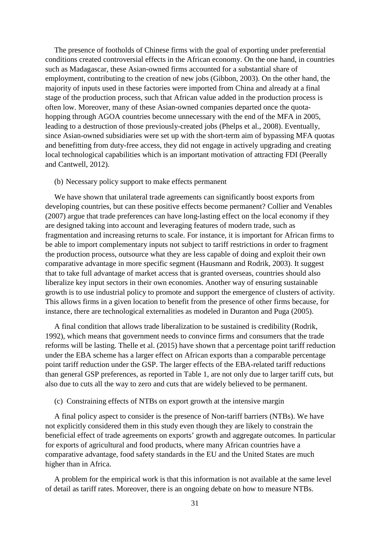The presence of footholds of Chinese firms with the goal of exporting under preferential conditions created controversial effects in the African economy. On the one hand, in countries such as Madagascar, these Asian-owned firms accounted for a substantial share of employment, contributing to the creation of new jobs (Gibbon, 2003). On the other hand, the majority of inputs used in these factories were imported from China and already at a final stage of the production process, such that African value added in the production process is often low. Moreover, many of these Asian-owned companies departed once the quotahopping through AGOA countries become unnecessary with the end of the MFA in 2005, leading to a destruction of those previously-created jobs (Phelps et al., 2008). Eventually, since Asian-owned subsidiaries were set up with the short-term aim of bypassing MFA quotas and benefitting from duty-free access, they did not engage in actively upgrading and creating local technological capabilities which is an important motivation of attracting FDI (Peerally and Cantwell, 2012).

#### (b) Necessary policy support to make effects permanent

We have shown that unilateral trade agreements can significantly boost exports from developing countries, but can these positive effects become permanent? Collier and Venables (2007) argue that trade preferences can have long-lasting effect on the local economy if they are designed taking into account and leveraging features of modern trade, such as fragmentation and increasing returns to scale. For instance, it is important for African firms to be able to import complementary inputs not subject to tariff restrictions in order to fragment the production process, outsource what they are less capable of doing and exploit their own comparative advantage in more specific segment (Hausmann and Rodrik, 2003). It suggest that to take full advantage of market access that is granted overseas, countries should also liberalize key input sectors in their own economies. Another way of ensuring sustainable growth is to use industrial policy to promote and support the emergence of clusters of activity. This allows firms in a given location to benefit from the presence of other firms because, for instance, there are technological externalities as modeled in Duranton and Puga (2005).

A final condition that allows trade liberalization to be sustained is credibility (Rodrik, 1992), which means that government needs to convince firms and consumers that the trade reforms will be lasting. Thelle et al. (2015) have shown that a percentage point tariff reduction under the EBA scheme has a larger effect on African exports than a comparable percentage point tariff reduction under the GSP. The larger effects of the EBA-related tariff reductions than general GSP preferences, as reported in Table 1, are not only due to larger tariff cuts, but also due to cuts all the way to zero and cuts that are widely believed to be permanent.

#### (c) Constraining effects of NTBs on export growth at the intensive margin

A final policy aspect to consider is the presence of Non-tariff barriers (NTBs). We have not explicitly considered them in this study even though they are likely to constrain the beneficial effect of trade agreements on exports' growth and aggregate outcomes. In particular for exports of agricultural and food products, where many African countries have a comparative advantage, food safety standards in the EU and the United States are much higher than in Africa.

A problem for the empirical work is that this information is not available at the same level of detail as tariff rates. Moreover, there is an ongoing debate on how to measure NTBs.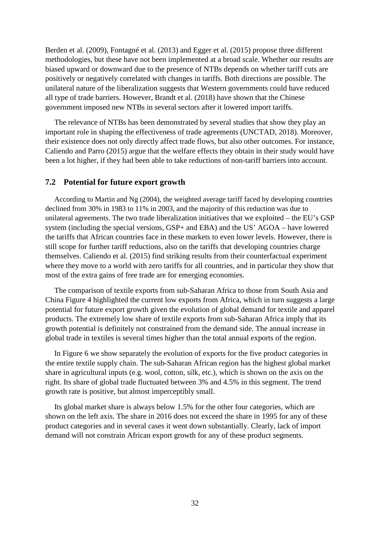Berden et al. (2009), Fontagné et al. (2013) and Egger et al. (2015) propose three different methodologies, but these have not been implemented at a broad scale. Whether our results are biased upward or downward due to the presence of NTBs depends on whether tariff cuts are positively or negatively correlated with changes in tariffs. Both directions are possible. The unilateral nature of the liberalization suggests that Western governments could have reduced all type of trade barriers. However, Brandt et al. (2018) have shown that the Chinese government imposed new NTBs in several sectors after it lowered import tariffs.

The relevance of NTBs has been demonstrated by several studies that show they play an important role in shaping the effectiveness of trade agreements (UNCTAD, 2018). Moreover, their existence does not only directly affect trade flows, but also other outcomes. For instance, Caliendo and Parro (2015) argue that the welfare effects they obtain in their study would have been a lot higher, if they had been able to take reductions of non-tariff barriers into account.

#### **7.2 Potential for future export growth**

According to Martin and Ng (2004), the weighted average tariff faced by developing countries declined from 30% in 1983 to 11% in 2003, and the majority of this reduction was due to unilateral agreements. The two trade liberalization initiatives that we exploited – the EU's GSP system (including the special versions, GSP+ and EBA) and the US' AGOA – have lowered the tariffs that African countries face in these markets to even lower levels. However, there is still scope for further tariff reductions, also on the tariffs that developing countries charge themselves. Caliendo et al. (2015) find striking results from their counterfactual experiment where they move to a world with zero tariffs for all countries, and in particular they show that most of the extra gains of free trade are for emerging economies.

The comparison of textile exports from sub-Saharan Africa to those from South Asia and China [Figure 4](#page-9-0) highlighted the current low exports from Africa, which in turn suggests a large potential for future export growth given the evolution of global demand for textile and apparel products. The extremely low share of textile exports from sub-Saharan Africa imply that its growth potential is definitely not constrained from the demand side. The annual increase in global trade in textiles is several times higher than the total annual exports of the region.

In [Figure 6](#page-34-0) we show separately the evolution of exports for the five product categories in the entire textile supply chain. The sub-Saharan African region has the highest global market share in agricultural inputs (e.g. wool, cotton, silk, etc.), which is shown on the axis on the right. Its share of global trade fluctuated between 3% and 4.5% in this segment. The trend growth rate is positive, but almost imperceptibly small.

Its global market share is always below 1.5% for the other four categories, which are shown on the left axis. The share in 2016 does not exceed the share in 1995 for any of these product categories and in several cases it went down substantially. Clearly, lack of import demand will not constrain African export growth for any of these product segments.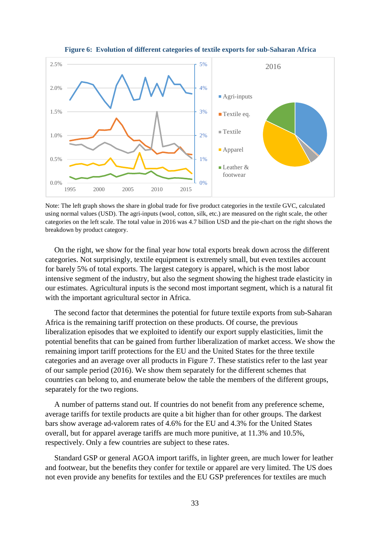<span id="page-34-0"></span>



Note: The left graph shows the share in global trade for five product categories in the textile GVC, calculated using normal values (USD). The agri-inputs (wool, cotton, silk, etc.) are measured on the right scale, the other categories on the left scale. The total value in 2016 was 4.7 billion USD and the pie-chart on the right shows the breakdown by product category.

On the right, we show for the final year how total exports break down across the different categories. Not surprisingly, textile equipment is extremely small, but even textiles account for barely 5% of total exports. The largest category is apparel, which is the most labor intensive segment of the industry, but also the segment showing the highest trade elasticity in our estimates. Agricultural inputs is the second most important segment, which is a natural fit with the important agricultural sector in Africa.

The second factor that determines the potential for future textile exports from sub-Saharan Africa is the remaining tariff protection on these products. Of course, the previous liberalization episodes that we exploited to identify our export supply elasticities, limit the potential benefits that can be gained from further liberalization of market access. We show the remaining import tariff protections for the EU and the United States for the three textile categories and an average over all products in [Figure 7.](#page-35-0) These statistics refer to the last year of our sample period (2016). We show them separately for the different schemes that countries can belong to, and enumerate below the table the members of the different groups, separately for the two regions.

A number of patterns stand out. If countries do not benefit from any preference scheme, average tariffs for textile products are quite a bit higher than for other groups. The darkest bars show average ad-valorem rates of 4.6% for the EU and 4.3% for the United States overall, but for apparel average tariffs are much more punitive, at 11.3% and 10.5%, respectively. Only a few countries are subject to these rates.

Standard GSP or general AGOA import tariffs, in lighter green, are much lower for leather and footwear, but the benefits they confer for textile or apparel are very limited. The US does not even provide any benefits for textiles and the EU GSP preferences for textiles are much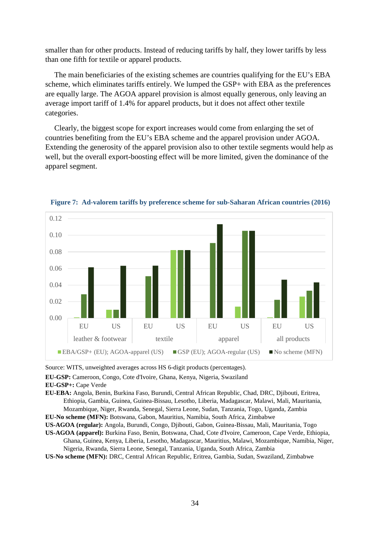smaller than for other products. Instead of reducing tariffs by half, they lower tariffs by less than one fifth for textile or apparel products.

The main beneficiaries of the existing schemes are countries qualifying for the EU's EBA scheme, which eliminates tariffs entirely. We lumped the GSP+ with EBA as the preferences are equally large. The AGOA apparel provision is almost equally generous, only leaving an average import tariff of 1.4% for apparel products, but it does not affect other textile categories.

Clearly, the biggest scope for export increases would come from enlarging the set of countries benefiting from the EU's EBA scheme and the apparel provision under AGOA. Extending the generosity of the apparel provision also to other textile segments would help as well, but the overall export-boosting effect will be more limited, given the dominance of the apparel segment.



<span id="page-35-0"></span>**Figure 7: Ad-valorem tariffs by preference scheme for sub-Saharan African countries (2016)**

Source: WITS, unweighted averages across HS 6-digit products (percentages).

**EU-GSP:** Cameroon, Congo, Cote d'Ivoire, Ghana, Kenya, Nigeria, Swaziland

**EU-EBA:** Angola, Benin, Burkina Faso, Burundi, Central African Republic, Chad, DRC, Djibouti, Eritrea, Ethiopia, Gambia, Guinea, Guinea-Bissau, Lesotho, Liberia, Madagascar, Malawi, Mali, Mauritania, Mozambique, Niger, Rwanda, Senegal, Sierra Leone, Sudan, Tanzania, Togo, Uganda, Zambia

**EU-No scheme (MFN):** Botswana, Gabon, Mauritius, Namibia, South Africa, Zimbabwe

- **US-AGOA (regular):** Angola, Burundi, Congo, Djibouti, Gabon, Guinea-Bissau, Mali, Mauritania, Togo
- **US-AGOA (apparel):** Burkina Faso, Benin, Botswana, Chad, Cote d'Ivoire, Cameroon, Cape Verde, Ethiopia, Ghana, Guinea, Kenya, Liberia, Lesotho, Madagascar, Mauritius, Malawi, Mozambique, Namibia, Niger, Nigeria, Rwanda, Sierra Leone, Senegal, Tanzania, Uganda, South Africa, Zambia
- **US-No scheme (MFN):** DRC, Central African Republic, Eritrea, Gambia, Sudan, Swaziland, Zimbabwe

**EU-GSP+:** Cape Verde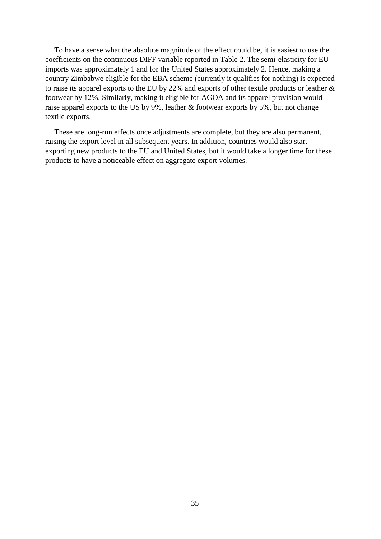To have a sense what the absolute magnitude of the effect could be, it is easiest to use the coefficients on the continuous DIFF variable reported in [Table 2.](#page-28-0) The semi-elasticity for EU imports was approximately 1 and for the United States approximately 2. Hence, making a country Zimbabwe eligible for the EBA scheme (currently it qualifies for nothing) is expected to raise its apparel exports to the EU by 22% and exports of other textile products or leather & footwear by 12%. Similarly, making it eligible for AGOA and its apparel provision would raise apparel exports to the US by 9%, leather & footwear exports by 5%, but not change textile exports.

These are long-run effects once adjustments are complete, but they are also permanent, raising the export level in all subsequent years. In addition, countries would also start exporting new products to the EU and United States, but it would take a longer time for these products to have a noticeable effect on aggregate export volumes.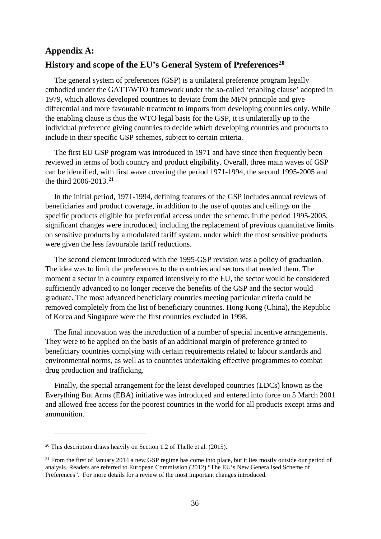# **Appendix A: History and scope of the EU's General System of Preferences[20](#page-37-0)**

The general system of preferences (GSP) is a unilateral preference program legally embodied under the GATT/WTO framework under the so-called 'enabling clause' adopted in 1979, which allows developed countries to deviate from the MFN principle and give differential and more favourable treatment to imports from developing countries only. While the enabling clause is thus the WTO legal basis for the GSP, it is unilaterally up to the individual preference giving countries to decide which developing countries and products to include in their specific GSP schemes, subject to certain criteria.

The first EU GSP program was introduced in 1971 and have since then frequently been reviewed in terms of both country and product eligibility. Overall, three main waves of GSP can be identified, with first wave covering the period 1971-1994, the second 1995-2005 and the third  $2006 - 2013$ <sup>[21](#page-37-1)</sup>

In the initial period, 1971-1994, defining features of the GSP includes annual reviews of beneficiaries and product coverage, in addition to the use of quotas and ceilings on the specific products eligible for preferential access under the scheme. In the period 1995-2005, significant changes were introduced, including the replacement of previous quantitative limits on sensitive products by a modulated tariff system, under which the most sensitive products were given the less favourable tariff reductions.

The second element introduced with the 1995-GSP revision was a policy of graduation. The idea was to limit the preferences to the countries and sectors that needed them. The moment a sector in a country exported intensively to the EU, the sector would be considered sufficiently advanced to no longer receive the benefits of the GSP and the sector would graduate. The most advanced beneficiary countries meeting particular criteria could be removed completely from the list of beneficiary countries. Hong Kong (China), the Republic of Korea and Singapore were the first countries excluded in 1998.

The final innovation was the introduction of a number of special incentive arrangements. They were to be applied on the basis of an additional margin of preference granted to beneficiary countries complying with certain requirements related to labour standards and environmental norms, as well as to countries undertaking effective programmes to combat drug production and trafficking.

Finally, the special arrangement for the least developed countries (LDCs) known as the Everything But Arms (EBA) initiative was introduced and entered into force on 5 March 2001 and allowed free access for the poorest countries in the world for all products except arms and ammunition.

<span id="page-37-0"></span><sup>&</sup>lt;sup>20</sup> This description draws heavily on Section 1.2 of Thelle et al.  $(2015)$ .

<span id="page-37-1"></span> $21$  From the first of January 2014 a new GSP regime has come into place, but it lies mostly outside our period of analysis. Readers are referred to European Commission (2012) "The EU's New Generalised Scheme of Preferences". For more details for a review of the most important changes introduced.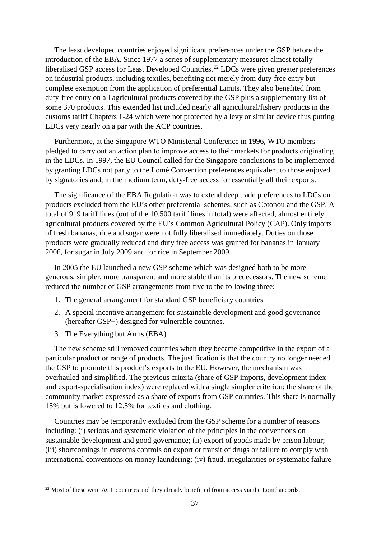The least developed countries enjoyed significant preferences under the GSP before the introduction of the EBA. Since 1977 a series of supplementary measures almost totally liberalised GSP access for Least Developed Countries.<sup>[22](#page-38-0)</sup> LDCs were given greater preferences on industrial products, including textiles, benefiting not merely from duty-free entry but complete exemption from the application of preferential Limits. They also benefited from duty-free entry on all agricultural products covered by the GSP plus a supplementary list of some 370 products. This extended list included nearly all agricultural/fishery products in the customs tariff Chapters 1-24 which were not protected by a levy or similar device thus putting LDCs very nearly on a par with the ACP countries.

Furthermore, at the Singapore WTO Ministerial Conference in 1996, WTO members pledged to carry out an action plan to improve access to their markets for products originating in the LDCs. In 1997, the EU Council called for the Singapore conclusions to be implemented by granting LDCs not party to the Lomé Convention preferences equivalent to those enjoyed by signatories and, in the medium term, duty-free access for essentially all their exports.

The significance of the EBA Regulation was to extend deep trade preferences to LDCs on products excluded from the EU's other preferential schemes, such as Cotonou and the GSP. A total of 919 tariff lines (out of the 10,500 tariff lines in total) were affected, almost entirely agricultural products covered by the EU's Common Agricultural Policy (CAP). Only imports of fresh bananas, rice and sugar were not fully liberalised immediately. Duties on those products were gradually reduced and duty free access was granted for bananas in January 2006, for sugar in July 2009 and for rice in September 2009.

In 2005 the EU launched a new GSP scheme which was designed both to be more generous, simpler, more transparent and more stable than its predecessors. The new scheme reduced the number of GSP arrangements from five to the following three:

- 1. The general arrangement for standard GSP beneficiary countries
- 2. A special incentive arrangement for sustainable development and good governance (hereafter GSP+) designed for vulnerable countries.
- 3. The Everything but Arms (EBA)

 $\overline{a}$ 

The new scheme still removed countries when they became competitive in the export of a particular product or range of products. The justification is that the country no longer needed the GSP to promote this product's exports to the EU. However, the mechanism was overhauled and simplified. The previous criteria (share of GSP imports, development index and export-specialisation index) were replaced with a single simpler criterion: the share of the community market expressed as a share of exports from GSP countries. This share is normally 15% but is lowered to 12.5% for textiles and clothing.

Countries may be temporarily excluded from the GSP scheme for a number of reasons including: (i) serious and systematic violation of the principles in the conventions on sustainable development and good governance; (ii) export of goods made by prison labour; (iii) shortcomings in customs controls on export or transit of drugs or failure to comply with international conventions on money laundering; (iv) fraud, irregularities or systematic failure

<span id="page-38-0"></span><sup>&</sup>lt;sup>22</sup> Most of these were ACP countries and they already benefitted from access via the Lomé accords.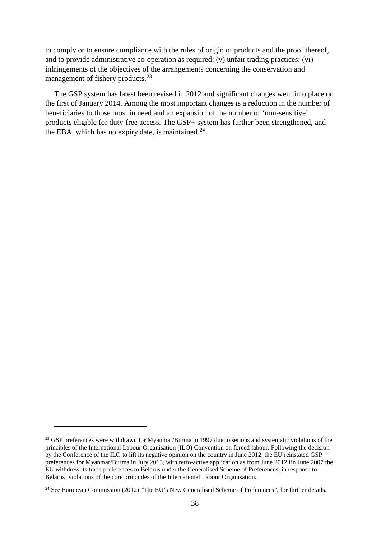to comply or to ensure compliance with the rules of origin of products and the proof thereof, and to provide administrative co-operation as required; (v) unfair trading practices; (vi) infringements of the objectives of the arrangements concerning the conservation and management of fishery products.<sup>[23](#page-39-0)</sup>

The GSP system has latest been revised in 2012 and significant changes went into place on the first of January 2014. Among the most important changes is a reduction in the number of beneficiaries to those most in need and an expansion of the number of 'non-sensitive' products eligible for duty-free access. The GSP+ system has further been strengthened, and the EBA, which has no expiry date, is maintained. $24$ 

<span id="page-39-0"></span><sup>&</sup>lt;sup>23</sup> GSP preferences were withdrawn for Myanmar/Burma in 1997 due to serious and systematic violations of the principles of the International Labour Organisation (ILO) Convention on forced labour. Following the decision by the Conference of the ILO to lift its negative opinion on the country in June 2012, the EU reinstated GSP preferences for Myanmar/Burma in July 2013, with retro-active application as from June 2012.Iin June 2007 the EU withdrew its trade preferences to Belarus under the Generalised Scheme of Preferences, in response to Belarus' violations of the core principles of the International Labour Organisation.

<span id="page-39-1"></span><sup>&</sup>lt;sup>24</sup> See European Commission (2012) "The EU's New Generalised Scheme of Preferences", for further details.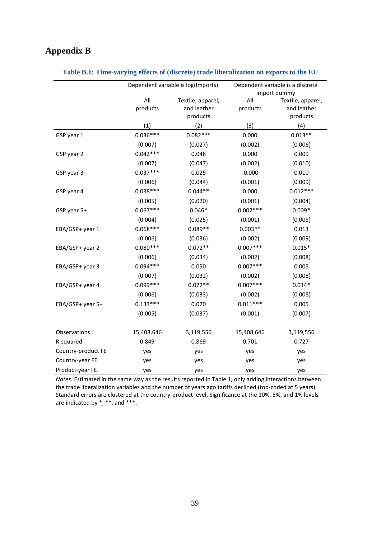# **Appendix B**

|                    |                 | Dependent variable is log(Imports)           | Dependent variable is a discrete<br>import dummy |                                              |  |  |
|--------------------|-----------------|----------------------------------------------|--------------------------------------------------|----------------------------------------------|--|--|
|                    | All<br>products | Textile, apparel,<br>and leather<br>products | All<br>products                                  | Textile, apparel,<br>and leather<br>products |  |  |
|                    | (1)             | (2)                                          | (3)                                              | (4)                                          |  |  |
| GSP year 1         | $0.036***$      | $0.082***$                                   | 0.000                                            | $0.013**$                                    |  |  |
|                    | (0.007)         | (0.027)                                      | (0.002)                                          | (0.006)                                      |  |  |
| GSP year 2         | $0.042***$      | 0.048                                        | 0.000                                            | 0.009                                        |  |  |
|                    | (0.007)         | (0.047)                                      | (0.002)                                          | (0.010)                                      |  |  |
| GSP year 3         | $0.037***$      | 0.025                                        | $-0.000$                                         | 0.010                                        |  |  |
|                    | (0.006)         | (0.044)                                      | (0.001)                                          | (0.009)                                      |  |  |
| GSP year 4         | $0.038***$      | $0.044**$                                    | 0.000                                            | $0.012***$                                   |  |  |
|                    | (0.005)         | (0.020)                                      | (0.001)                                          | (0.004)                                      |  |  |
| GSP year 5+        | $0.067***$      | $0.046*$                                     | $0.002***$                                       | $0.009*$                                     |  |  |
|                    | (0.004)         | (0.025)                                      | (0.001)                                          | (0.005)                                      |  |  |
| EBA/GSP+ year 1    | $0.068***$      | $0.089**$                                    | $0.003**$                                        | 0.013                                        |  |  |
|                    | (0.006)         | (0.036)                                      | (0.002)                                          | (0.009)                                      |  |  |
| EBA/GSP+ year 2    | $0.080***$      | $0.072**$                                    | $0.007***$                                       | $0.015*$                                     |  |  |
|                    | (0.006)         | (0.034)                                      | (0.002)                                          | (0.008)                                      |  |  |
| EBA/GSP+ year 3    | $0.094***$      | 0.050                                        | $0.007***$                                       | 0.005                                        |  |  |
|                    | (0.007)         | (0.032)                                      | (0.002)                                          | (0.008)                                      |  |  |
| EBA/GSP+ year 4    | $0.099***$      | $0.072**$                                    | $0.007***$                                       | $0.014*$                                     |  |  |
|                    | (0.006)         | (0.033)                                      | (0.002)                                          | (0.008)                                      |  |  |
| EBA/GSP+ year 5+   | $0.133***$      | 0.020                                        | $0.011***$                                       | 0.005                                        |  |  |
|                    | (0.005)         | (0.037)                                      | (0.001)                                          | (0.007)                                      |  |  |
| Observations       | 15,408,646      | 3,119,556                                    | 15,408,646                                       | 3,119,556                                    |  |  |
| R-squared          | 0.849           | 0.869                                        | 0.701                                            | 0.727                                        |  |  |
| Country-product FE | yes             | yes                                          | yes                                              | yes                                          |  |  |
| Country-year FE    | yes             | yes                                          | yes                                              | yes                                          |  |  |
| Product-year FE    | yes             | yes                                          | yes                                              | yes                                          |  |  |

#### **Table B.1: Time-varying effects of (discrete) trade liberalization on exports to the EU**

*Notes:* Estimated in the same way as the results reported in Table 1, only adding interactions between the trade liberalization variables and the number of years ago tariffs declined (top-coded at 5 years). Standard errors are clustered at the country-product level. Significance at the 10%, 5%, and 1% levels are indicated by \*, \*\*, and \*\*\*.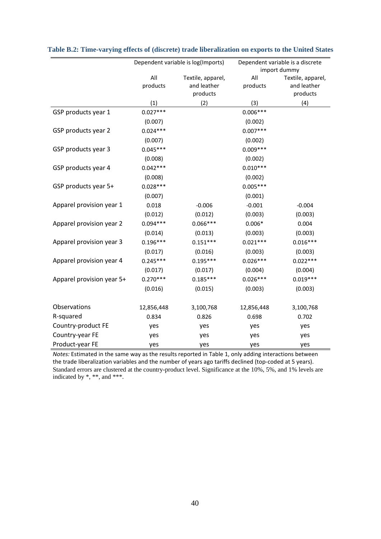|                           | Dependent variable is log(Imports) |                   | Dependent variable is a discrete |                   |  |  |
|---------------------------|------------------------------------|-------------------|----------------------------------|-------------------|--|--|
|                           |                                    |                   |                                  | import dummy      |  |  |
|                           | All                                | Textile, apparel, | All                              | Textile, apparel, |  |  |
|                           | products                           | and leather       | products                         | and leather       |  |  |
|                           |                                    | products          |                                  | products          |  |  |
|                           | (1)                                | (2)               | (3)                              | (4)               |  |  |
| GSP products year 1       | $0.027***$                         |                   | $0.006***$                       |                   |  |  |
|                           | (0.007)                            |                   | (0.002)                          |                   |  |  |
| GSP products year 2       | $0.024***$                         |                   | $0.007***$                       |                   |  |  |
|                           | (0.007)                            |                   | (0.002)                          |                   |  |  |
| GSP products year 3       | $0.045***$                         |                   | $0.009***$                       |                   |  |  |
|                           | (0.008)                            |                   | (0.002)                          |                   |  |  |
| GSP products year 4       | $0.042***$                         |                   | $0.010***$                       |                   |  |  |
|                           | (0.008)                            |                   | (0.002)                          |                   |  |  |
| GSP products year 5+      | $0.028***$                         |                   | $0.005***$                       |                   |  |  |
|                           | (0.007)                            |                   | (0.001)                          |                   |  |  |
| Apparel provision year 1  | 0.018                              | $-0.006$          | $-0.001$                         | $-0.004$          |  |  |
|                           | (0.012)                            | (0.012)           | (0.003)                          | (0.003)           |  |  |
| Apparel provision year 2  | $0.094***$                         | $0.066***$        | $0.006*$                         | 0.004             |  |  |
|                           | (0.014)                            | (0.013)           | (0.003)                          | (0.003)           |  |  |
| Apparel provision year 3  | $0.196***$                         | $0.151***$        | $0.021***$                       | $0.016***$        |  |  |
|                           | (0.017)                            | (0.016)           | (0.003)                          | (0.003)           |  |  |
| Apparel provision year 4  | $0.245***$                         | $0.195***$        | $0.026***$                       | $0.022***$        |  |  |
|                           | (0.017)                            | (0.017)           | (0.004)                          | (0.004)           |  |  |
| Apparel provision year 5+ | $0.270***$                         | $0.185***$        | $0.026***$                       | $0.019***$        |  |  |
|                           | (0.016)                            | (0.015)           | (0.003)                          | (0.003)           |  |  |
| Observations              | 12,856,448                         | 3,100,768         | 12,856,448                       | 3,100,768         |  |  |
| R-squared                 | 0.834                              | 0.826             | 0.698                            | 0.702             |  |  |
| Country-product FE        | yes                                | yes               | yes                              | yes               |  |  |
| Country-year FE           | yes                                | yes               | yes                              | yes               |  |  |
| Product-year FE           | yes                                | yes               | yes                              | yes               |  |  |

|  |  |  | Table B.2: Time-varying effects of (discrete) trade liberalization on exports to the United States |  |  |
|--|--|--|----------------------------------------------------------------------------------------------------|--|--|
|--|--|--|----------------------------------------------------------------------------------------------------|--|--|

*Notes:* Estimated in the same way as the results reported in Table 1, only adding interactions between the trade liberalization variables and the number of years ago tariffs declined (top-coded at 5 years). Standard errors are clustered at the country-product level. Significance at the 10%, 5%, and 1% levels are indicated by \*, \*\*, and \*\*\*.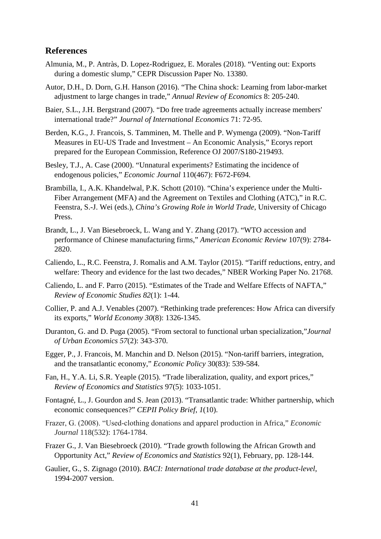# **References**

- Almunia, M., P. Antràs, D. Lopez-Rodriguez, E. Morales (2018). "Venting out: Exports during a domestic slump," CEPR Discussion Paper No. 13380.
- Autor, D.H., D. Dorn, G.H. Hanson (2016). "The China shock: Learning from labor-market adjustment to large changes in trade," *Annual Review of Economics* 8: 205-240.
- Baier, S.L., J.H. Bergstrand (2007). "Do free trade agreements actually increase members' international trade?" *Journal of International Economics* 71: 72-95*.*
- Berden, K.G., J. Francois, S. Tamminen, M. Thelle and P. Wymenga (2009). "Non-Tariff Measures in EU-US Trade and Investment – An Economic Analysis," Ecorys report prepared for the European Commission, Reference OJ 2007/S180-219493.
- Besley, T.J., A. Case (2000). "Unnatural experiments? Estimating the incidence of endogenous policies," *Economic Journal* 110(467): F672-F694.
- Brambilla, I., A.K. Khandelwal, P.K. Schott (2010). "China's experience under the Multi-Fiber Arrangement (MFA) and the Agreement on Textiles and Clothing (ATC)," in R.C. Feenstra, S.-J. Wei (eds.), *China's Growing Role in World Trade*, University of Chicago Press.
- Brandt, L., J. Van Biesebroeck, L. Wang and Y. Zhang (2017). "WTO accession and performance of Chinese manufacturing firms," *American Economic Review* 107(9): 2784- 2820.
- Caliendo, L., R.C. Feenstra, J. Romalis and A.M. Taylor (2015). "Tariff reductions, entry, and welfare: Theory and evidence for the last two decades," NBER Working Paper No. 21768.
- Caliendo, L. and F. Parro (2015). "Estimates of the Trade and Welfare Effects of NAFTA," *Review of Economic Studies 82*(1): 1-44.
- Collier, P. and A.J. Venables (2007). "Rethinking trade preferences: How Africa can diversify its exports," *World Economy 30*(8): 1326-1345.
- Duranton, G. and D. Puga (2005). "From sectoral to functional urban specialization,"*Journal of Urban Economics 57*(2): 343-370.
- Egger, P., J. Francois, M. Manchin and D. Nelson (2015). "Non-tariff barriers, integration, and the transatlantic economy," *Economic Policy* 30(83): 539-584.
- Fan, H., Y.A. Li, S.R. Yeaple (2015). "Trade liberalization, quality, and export prices," *Review of Economics and Statistics* 97(5): 1033-1051.
- Fontagné, L., J. Gourdon and S. Jean (2013). "Transatlantic trade: Whither partnership, which economic consequences?" *CEPII Policy Brief*, *1*(10).
- Frazer, G. (2008). "Used‐clothing donations and apparel production in Africa," *Economic Journal* 118(532): 1764-1784.
- Frazer G., J. Van Biesebroeck (2010). "Trade growth following the African Growth and Opportunity Act," *Review of Economics and Statistics* 92(1), February, pp. 128-144.
- Gaulier, G., S. Zignago (2010). *BACI: International trade database at the product-level*, 1994-2007 version.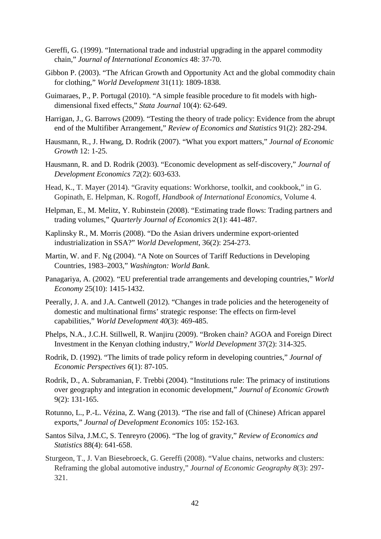- Gereffi, G. (1999). "International trade and industrial upgrading in the apparel commodity chain," *Journal of International Economics* 48: 37-70.
- Gibbon P. (2003). "The African Growth and Opportunity Act and the global commodity chain for clothing," *World Development* 31(11): 1809-1838.
- Guimaraes, P., P. Portugal (2010). "A simple feasible procedure to fit models with highdimensional fixed effects," *Stata Journal* 10(4): 62-649.
- Harrigan, J., G. Barrows (2009). "Testing the theory of trade policy: Evidence from the abrupt end of the Multifiber Arrangement," *Review of Economics and Statistics* 91(2): 282-294.
- Hausmann, R., J. Hwang, D. Rodrik (2007). "What you export matters," *Journal of Economic Growth* 12: 1-25.
- Hausmann, R. and D. Rodrik (2003). "Economic development as self-discovery," *Journal of Development Economics 72*(2): 603-633.
- Head, K., T. Mayer (2014). "Gravity equations: Workhorse, toolkit, and cookbook," in G. Gopinath, E. Helpman, K. Rogoff, *Handbook of International Economics*, Volume 4.
- Helpman, E., M. Melitz, Y. Rubinstein (2008). "Estimating trade flows: Trading partners and trading volumes," *Quarterly Journal of Economics* 2(1): 441-487.
- Kaplinsky R., M. Morris (2008). "Do the Asian drivers undermine export-oriented industrialization in SSA?" *World Development*, 36(2): 254-273.
- Martin, W. and F. Ng (2004). "A Note on Sources of Tariff Reductions in Developing Countries, 1983–2003," *Washington: World Bank*.
- Panagariya, A. (2002). "EU preferential trade arrangements and developing countries," *World Economy* 25(10): 1415-1432.
- Peerally, J. A. and J.A. Cantwell (2012). "Changes in trade policies and the heterogeneity of domestic and multinational firms' strategic response: The effects on firm-level capabilities," *World Development 40*(3): 469-485.
- Phelps, N.A., J.C.H. Stillwell, R. Wanjiru (2009). "Broken chain? AGOA and Foreign Direct Investment in the Kenyan clothing industry," *World Development* 37(2): 314-325.
- Rodrik, D. (1992). "The limits of trade policy reform in developing countries," *Journal of Economic Perspectives 6*(1): 87-105.
- Rodrik, D., A. Subramanian, F. Trebbi (2004). "Institutions rule: The primacy of institutions over geography and integration in economic development," *Journal of Economic Growth*  9(2): 131-165.
- Rotunno, L., P.-L. Vézina, Z. Wang (2013). "The rise and fall of (Chinese) African apparel exports," *Journal of Development Economics* 105: 152-163.
- Santos Silva, J.M.C, S. Tenreyro (2006). "The log of gravity," *Review of Economics and Statistics* 88(4): 641-658.
- Sturgeon, T., J. Van Biesebroeck, G. Gereffi (2008). "Value chains, networks and clusters: Reframing the global automotive industry," *Journal of Economic Geography 8*(3): 297- 321.